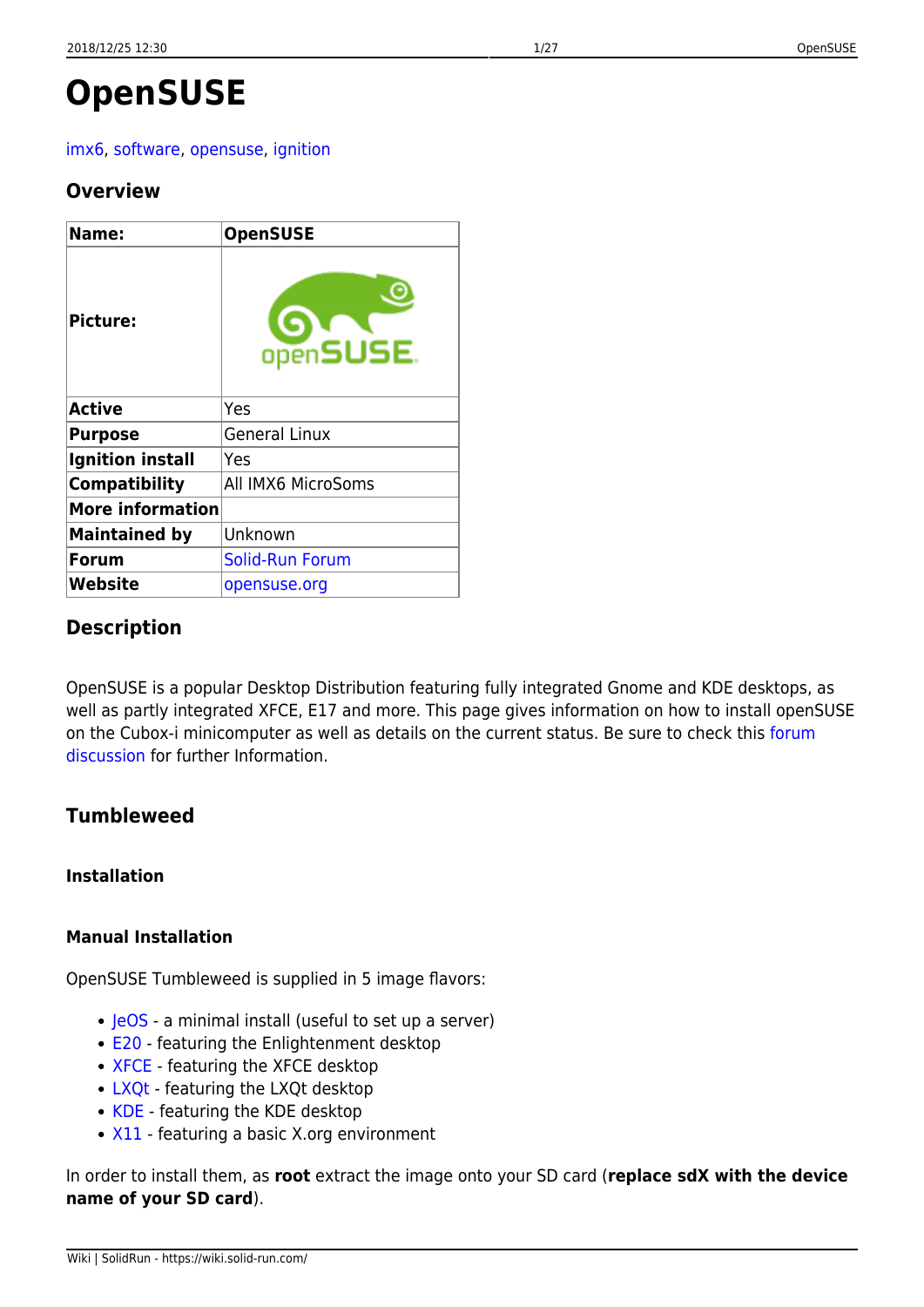# **OpenSUSE**

# [imx6](https://wiki.solid-run.com/doku.php?id=tag:imx6&do=showtag&tag=imx6), [software](https://wiki.solid-run.com/doku.php?id=tag:software&do=showtag&tag=software), [opensuse,](https://wiki.solid-run.com/doku.php?id=tag:opensuse&do=showtag&tag=opensuse) [ignition](https://wiki.solid-run.com/doku.php?id=tag:ignition&do=showtag&tag=ignition)

# **Overview**

| Name:                   | <b>OpenSUSE</b>        |
|-------------------------|------------------------|
| <b>Picture:</b>         | openSUSE.              |
| <b>Active</b>           | Yes                    |
| <b>Purpose</b>          | <b>General Linux</b>   |
| <b>Ignition install</b> | Yes                    |
| <b>Compatibility</b>    | All IMX6 MicroSoms     |
| <b>More information</b> |                        |
| <b>Maintained by</b>    | Unknown                |
| <b>Forum</b>            | <b>Solid-Run Forum</b> |
| Website                 | opensuse.org           |

# **Description**

OpenSUSE is a popular Desktop Distribution featuring fully integrated Gnome and KDE desktops, as well as partly integrated XFCE, E17 and more. This page gives information on how to install openSUSE on the Cubox-i minicomputer as well as details on the current status. Be sure to check this [forum](http://forum.solid-run.com/linux-on-cubox-i-and-hummingboard-f8/opensuse-t1215.html) [discussion](http://forum.solid-run.com/linux-on-cubox-i-and-hummingboard-f8/opensuse-t1215.html) for further Information.

# **Tumbleweed**

# **Installation**

# **Manual Installation**

OpenSUSE Tumbleweed is supplied in 5 image flavors:

- [JeOS](http://download.opensuse.org/ports/armv7hl/tumbleweed/images/openSUSE-Tumbleweed-ARM-JeOS-cubox.armv7l-Current.xz)  a minimal install (useful to set up a server)
- [E20](http://download.opensuse.org/ports/armv7hl/tumbleweed/images/openSUSE-Tumbleweed-ARM-E20-cuboxi.armv7l-Current.xz) featuring the Enlightenment desktop
- [XFCE](http://download.opensuse.org/ports/armv7hl/tumbleweed/images/openSUSE-Tumbleweed-ARM-XFCE-cuboxi.armv7l-Current.xz) featuring the XFCE desktop
- [LXQt](http://download.opensuse.org/ports/armv7hl/tumbleweed/images/openSUSE-Tumbleweed-ARM-LXQT-cuboxi.armv7l-Current.xz) featuring the LXQt desktop
- [KDE](http://download.opensuse.org/ports/armv7hl/tumbleweed/images/openSUSE-Tumbleweed-ARM-KDE-cuboxi.armv7l-Current.xz)  featuring the KDE desktop
- [X11](http://download.opensuse.org/ports/armv7hl/tumbleweed/images/openSUSE-Tumbleweed-ARM-X11-cuboxi.armv7l-Current.xz)  featuring a basic X.org environment

In order to install them, as **root** extract the image onto your SD card (**replace sdX with the device name of your SD card**).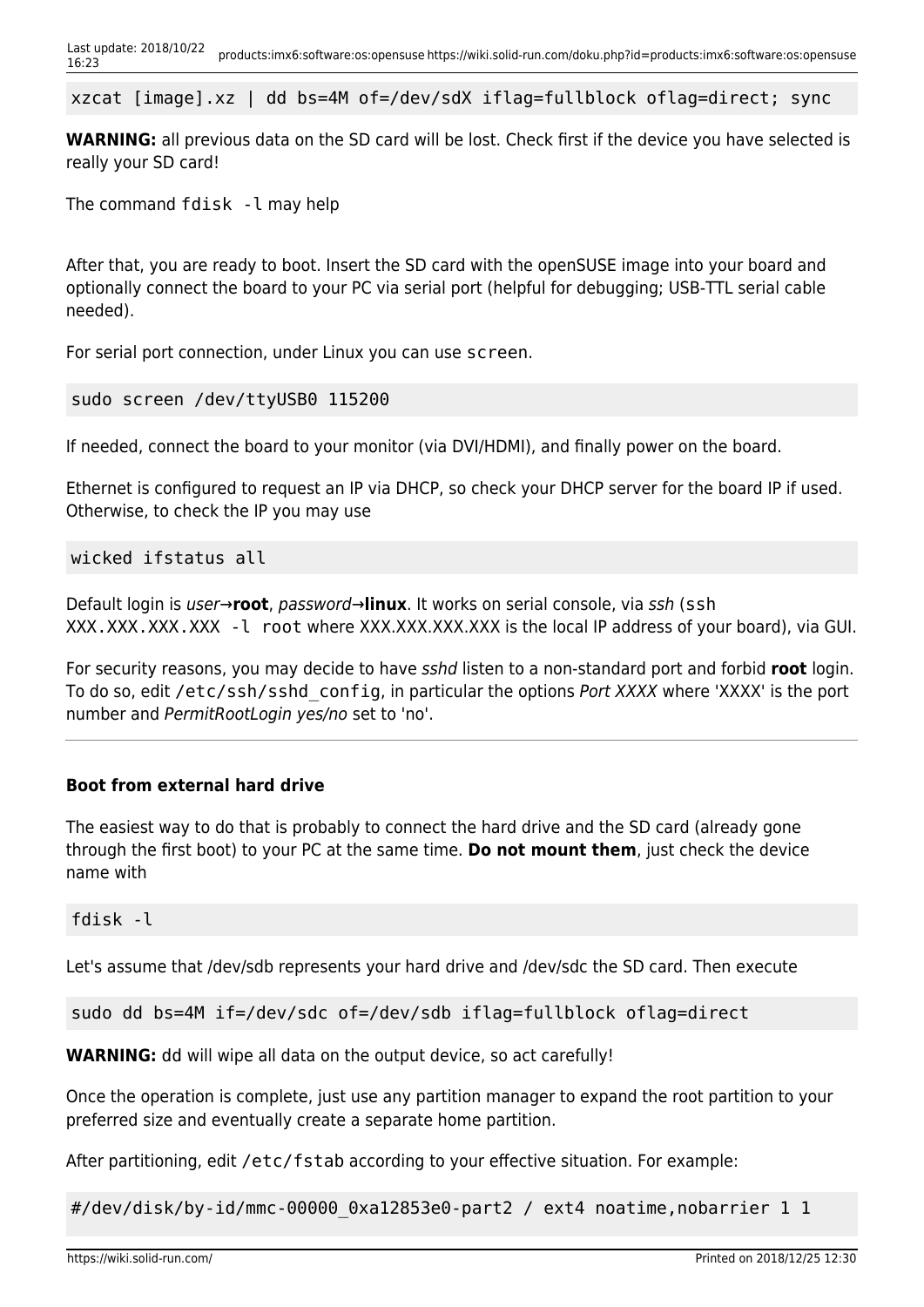xzcat [image].xz | dd bs=4M of=/dev/sdX iflag=fullblock oflag=direct; sync

**WARNING:** all previous data on the SD card will be lost. Check first if the device you have selected is really your SD card!

The command fdisk -l may help

After that, you are ready to boot. Insert the SD card with the openSUSE image into your board and optionally connect the board to your PC via serial port (helpful for debugging; USB-TTL serial cable needed).

For serial port connection, under Linux you can use screen.

```
sudo screen /dev/ttyUSB0 115200
```
If needed, connect the board to your monitor (via DVI/HDMI), and finally power on the board.

Ethernet is configured to request an IP via DHCP, so check your DHCP server for the board IP if used. Otherwise, to check the IP you may use

wicked ifstatus all

Default login is user→**root**, password→**linux**. It works on serial console, via ssh (ssh XXX.XXX.XXX.XXX - l root where XXX.XXX.XXX.XXX is the local IP address of your board), via GUI.

For security reasons, you may decide to have sshd listen to a non-standard port and forbid **root** login. To do so, edit /etc/ssh/sshd\_config, in particular the options Port XXXX where 'XXXX' is the port number and PermitRootLogin yes/no set to 'no'.

#### **Boot from external hard drive**

The easiest way to do that is probably to connect the hard drive and the SD card (already gone through the first boot) to your PC at the same time. **Do not mount them**, just check the device name with

fdisk -l

Let's assume that /dev/sdb represents your hard drive and /dev/sdc the SD card. Then execute

sudo dd bs=4M if=/dev/sdc of=/dev/sdb iflag=fullblock oflag=direct

**WARNING:** dd will wipe all data on the output device, so act carefully!

Once the operation is complete, just use any partition manager to expand the root partition to your preferred size and eventually create a separate home partition.

After partitioning, edit /etc/fstab according to your effective situation. For example:

#/dev/disk/by-id/mmc-00000 0xa12853e0-part2 / ext4 noatime,nobarrier 1 1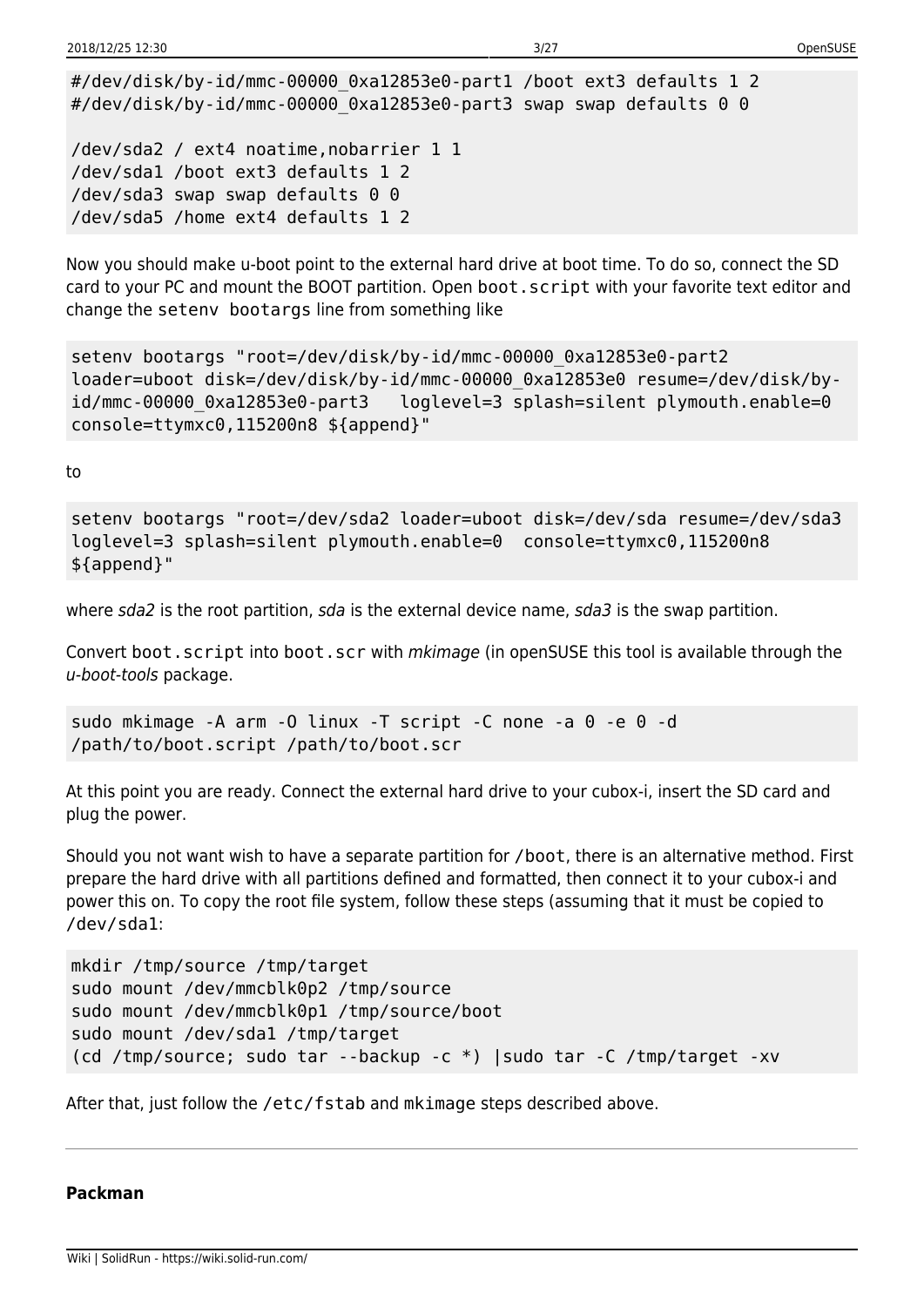```
#/dev/disk/by-id/mmc-00000_0xa12853e0-part1 /boot ext3 defaults 1 2
#/dev/disk/by-id/mmc-00000 0xa12853e0-part3 swap swap defaults 0 0
/dev/sda2 / ext4 noatime,nobarrier 1 1
```

```
/dev/sda1 /boot ext3 defaults 1 2
/dev/sda3 swap swap defaults 0 0
/dev/sda5 /home ext4 defaults 1 2
```
Now you should make u-boot point to the external hard drive at boot time. To do so, connect the SD card to your PC and mount the BOOT partition. Open boot.script with your favorite text editor and change the setenv bootargs line from something like

```
setenv bootargs "root=/dev/disk/by-id/mmc-00000_0xa12853e0-part2
loader=uboot disk=/dev/disk/by-id/mmc-00000_0xa12853e0 resume=/dev/disk/by-
id/mmc-00000 0xa12853e0-part3 loglevel=3 splash=silent plymouth.enable=0
console=ttymxc0,115200n8 ${append}"
```
to

setenv bootargs "root=/dev/sda2 loader=uboot disk=/dev/sda resume=/dev/sda3 loglevel=3 splash=silent plymouth.enable=0 console=ttymxc0,115200n8 \${append}"

where sda2 is the root partition, sda is the external device name, sda3 is the swap partition.

Convert boot. script into boot. scr with mkimage (in openSUSE this tool is available through the u-boot-tools package.

```
sudo mkimage -A arm -O linux -T script -C none -a 0 -e 0 -d
/path/to/boot.script /path/to/boot.scr
```
At this point you are ready. Connect the external hard drive to your cubox-i, insert the SD card and plug the power.

Should you not want wish to have a separate partition for /boot, there is an alternative method. First prepare the hard drive with all partitions defined and formatted, then connect it to your cubox-i and power this on. To copy the root file system, follow these steps (assuming that it must be copied to /dev/sda1:

```
mkdir /tmp/source /tmp/target
sudo mount /dev/mmcblk0p2 /tmp/source
sudo mount /dev/mmcblk0p1 /tmp/source/boot
sudo mount /dev/sda1 /tmp/target
(cd /tmp/source; sudo tar --backup -c *) |sudo tar -C /tmp/target -xv
```
After that, just follow the /etc/fstab and mkimage steps described above.

#### **Packman**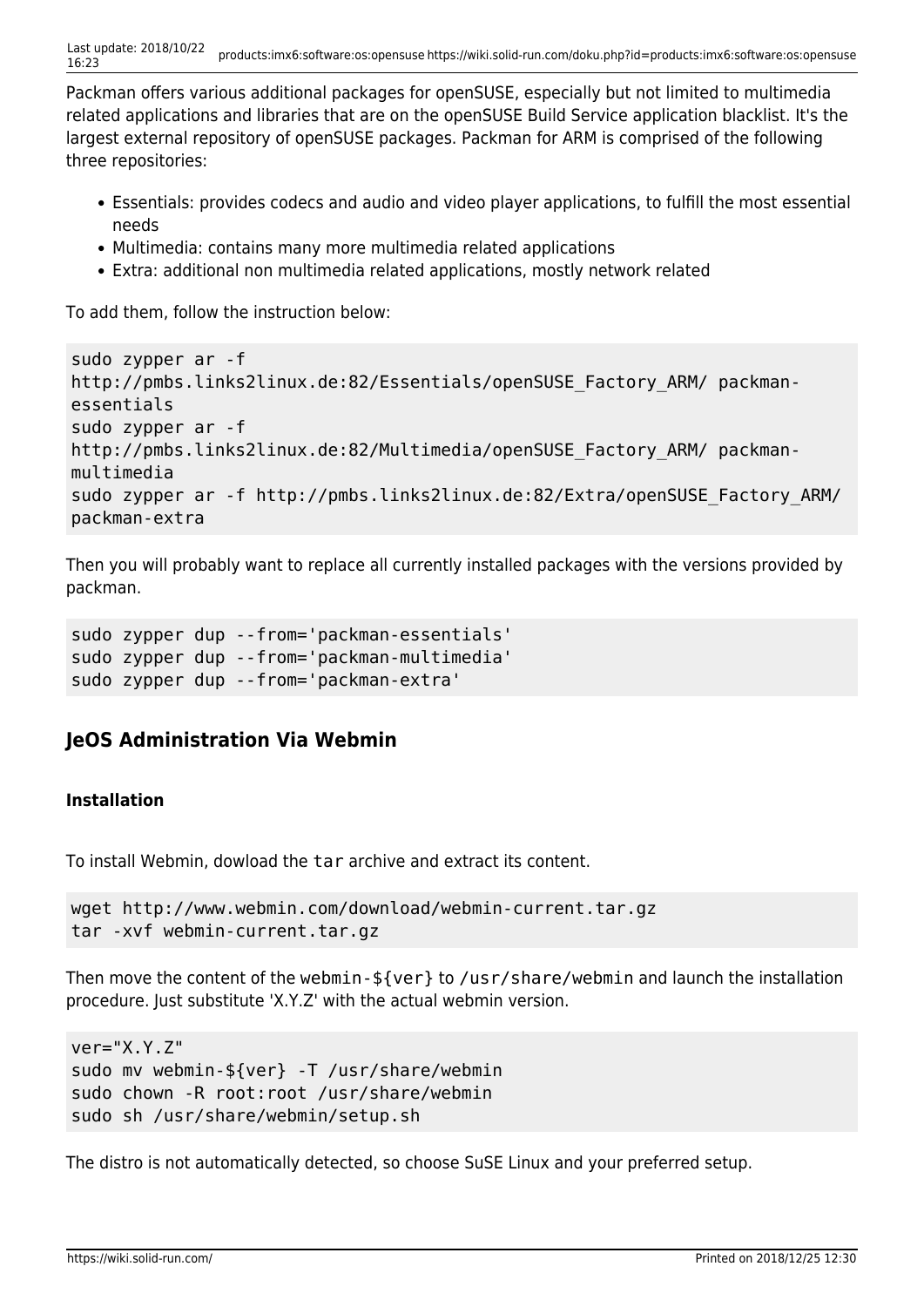Packman offers various additional packages for openSUSE, especially but not limited to multimedia related applications and libraries that are on the openSUSE Build Service application blacklist. It's the largest external repository of openSUSE packages. Packman for ARM is comprised of the following three repositories:

- Essentials: provides codecs and audio and video player applications, to fulfill the most essential needs
- Multimedia: contains many more multimedia related applications
- Extra: additional non multimedia related applications, mostly network related

To add them, follow the instruction below:

```
sudo zypper ar -f
http://pmbs.links2linux.de:82/Essentials/openSUSE_Factory_ARM/ packman-
essentials
sudo zypper ar -f
http://pmbs.links2linux.de:82/Multimedia/openSUSE_Factory_ARM/ packman-
multimedia
sudo zypper ar -f http://pmbs.links2linux.de:82/Extra/openSUSE_Factory_ARM/
packman-extra
```
Then you will probably want to replace all currently installed packages with the versions provided by packman.

```
sudo zypper dup --from='packman-essentials'
sudo zypper dup --from='packman-multimedia'
sudo zypper dup --from='packman-extra'
```
# **JeOS Administration Via Webmin**

# **Installation**

To install Webmin, dowload the tar archive and extract its content.

```
wget http://www.webmin.com/download/webmin-current.tar.gz
tar -xvf webmin-current.tar.gz
```
Then move the content of the webmin-\${ver} to /usr/share/webmin and launch the installation procedure. Just substitute 'X.Y.Z' with the actual webmin version.

```
ver="X.Y.Z"
sudo mv webmin-${ver} -T /usr/share/webmin
sudo chown -R root:root /usr/share/webmin
sudo sh /usr/share/webmin/setup.sh
```
The distro is not automatically detected, so choose SuSE Linux and your preferred setup.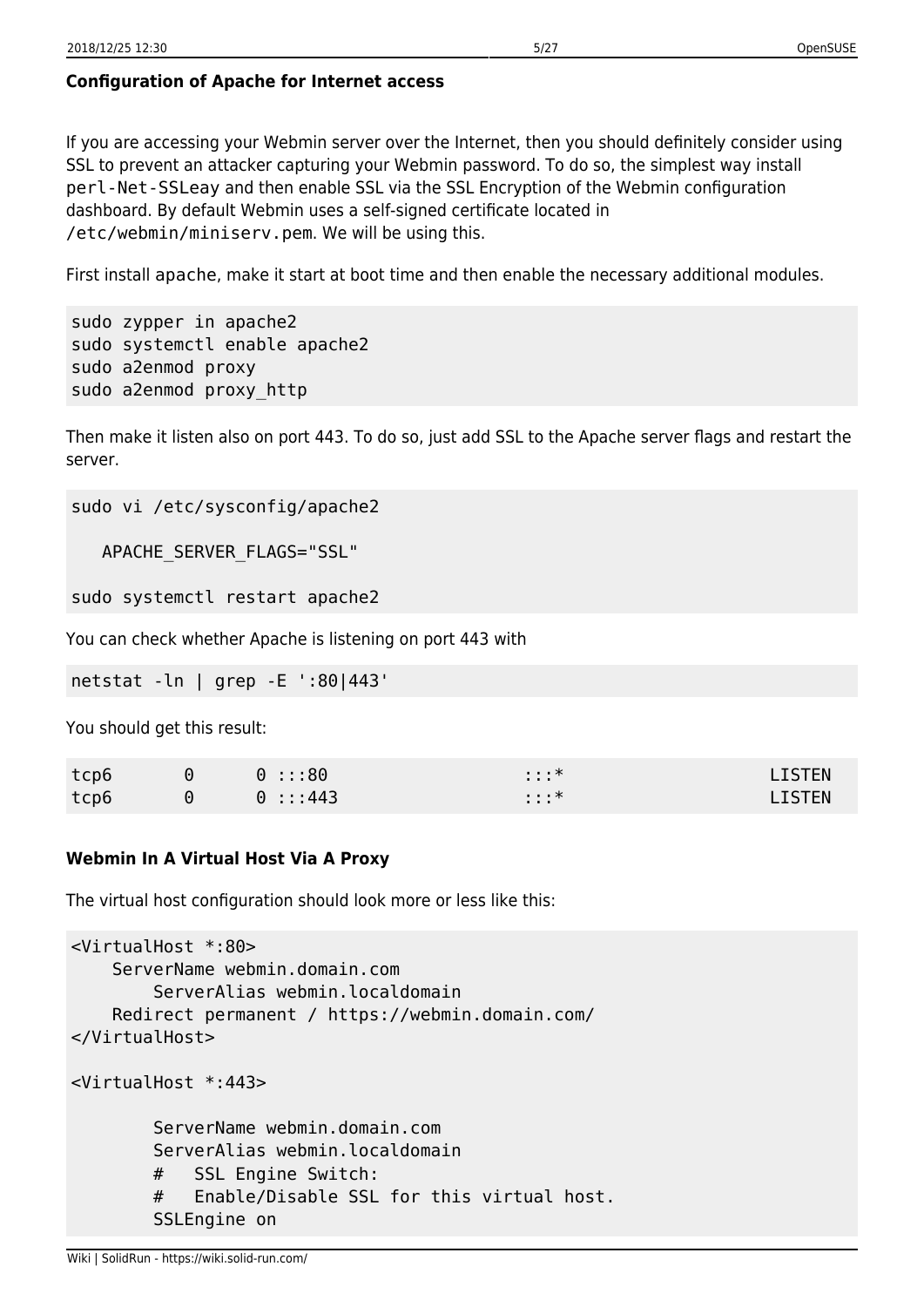# **Configuration of Apache for Internet access**

If you are accessing your Webmin server over the Internet, then you should definitely consider using SSL to prevent an attacker capturing your Webmin password. To do so, the simplest way install perl-Net-SSLeay and then enable SSL via the SSL Encryption of the Webmin configuration dashboard. By default Webmin uses a self-signed certificate located in /etc/webmin/miniserv.pem. We will be using this.

First install apache, make it start at boot time and then enable the necessary additional modules.

```
sudo zypper in apache2
sudo systemctl enable apache2
sudo a2enmod proxy
sudo a2enmod proxy_http
```
Then make it listen also on port 443. To do so, just add SSL to the Apache server flags and restart the server.

```
sudo vi /etc/sysconfig/apache2
```
APACHE\_SERVER\_FLAGS="SSL"

sudo systemctl restart apache2

You can check whether Apache is listening on port 443 with

netstat -ln | grep -E ':80|443'

You should get this result:

| tcp6 | $\Theta$ | 0 :::80 | . *<br>$\cdots$ | <b>LISTEN</b> |
|------|----------|---------|-----------------|---------------|
| tcp6 | $\Theta$ | 0:1:443 | $: : :$ *       | <b>LISTEN</b> |

# **Webmin In A Virtual Host Via A Proxy**

The virtual host configuration should look more or less like this:

```
<VirtualHost *:80>
     ServerName webmin.domain.com
         ServerAlias webmin.localdomain
     Redirect permanent / https://webmin.domain.com/
</VirtualHost>
<VirtualHost *:443>
         ServerName webmin.domain.com
         ServerAlias webmin.localdomain
         # SSL Engine Switch:
         # Enable/Disable SSL for this virtual host.
         SSLEngine on
```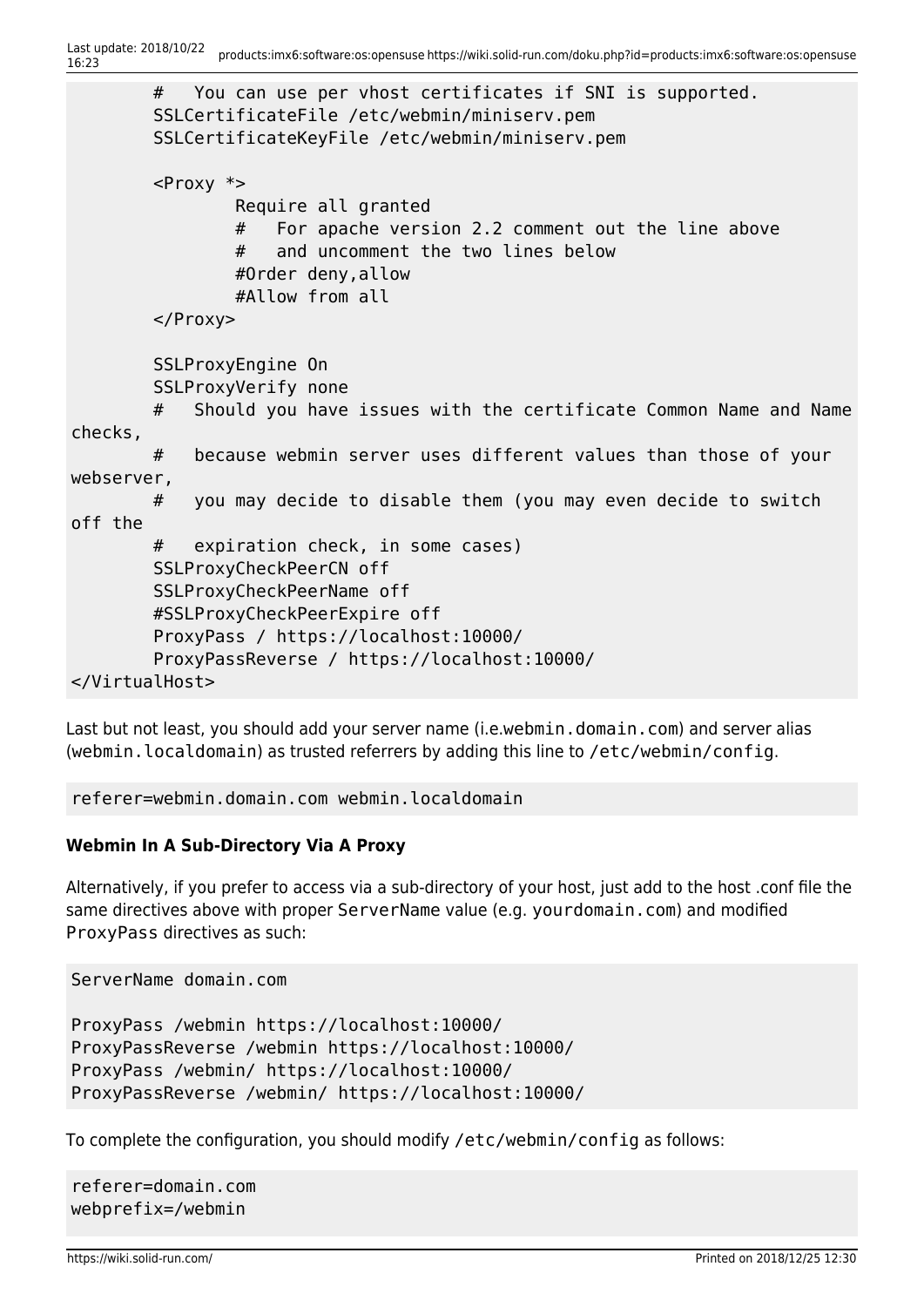```
 # You can use per vhost certificates if SNI is supported.
         SSLCertificateFile /etc/webmin/miniserv.pem
         SSLCertificateKeyFile /etc/webmin/miniserv.pem
        <Proxy *>
                 Require all granted
                 # For apache version 2.2 comment out the line above
                 # and uncomment the two lines below
                 #Order deny,allow
                 #Allow from all
         </Proxy>
         SSLProxyEngine On
         SSLProxyVerify none
         # Should you have issues with the certificate Common Name and Name
checks,
         # because webmin server uses different values than those of your
webserver,
         # you may decide to disable them (you may even decide to switch
off the
         # expiration check, in some cases)
         SSLProxyCheckPeerCN off
         SSLProxyCheckPeerName off
         #SSLProxyCheckPeerExpire off
         ProxyPass / https://localhost:10000/
         ProxyPassReverse / https://localhost:10000/
</VirtualHost>
```
Last but not least, you should add your server name (i.e.webmin.domain.com) and server alias (webmin.localdomain) as trusted referrers by adding this line to /etc/webmin/config.

referer=webmin.domain.com webmin.localdomain

# **Webmin In A Sub-Directory Via A Proxy**

Alternatively, if you prefer to access via a sub-directory of your host, just add to the host .conf file the same directives above with proper ServerName value (e.g. yourdomain.com) and modified ProxyPass directives as such:

ServerName domain.com

```
ProxyPass /webmin https://localhost:10000/
ProxyPassReverse /webmin https://localhost:10000/
ProxyPass /webmin/ https://localhost:10000/
ProxyPassReverse /webmin/ https://localhost:10000/
```
To complete the configuration, you should modify /etc/webmin/config as follows:

referer=domain.com webprefix=/webmin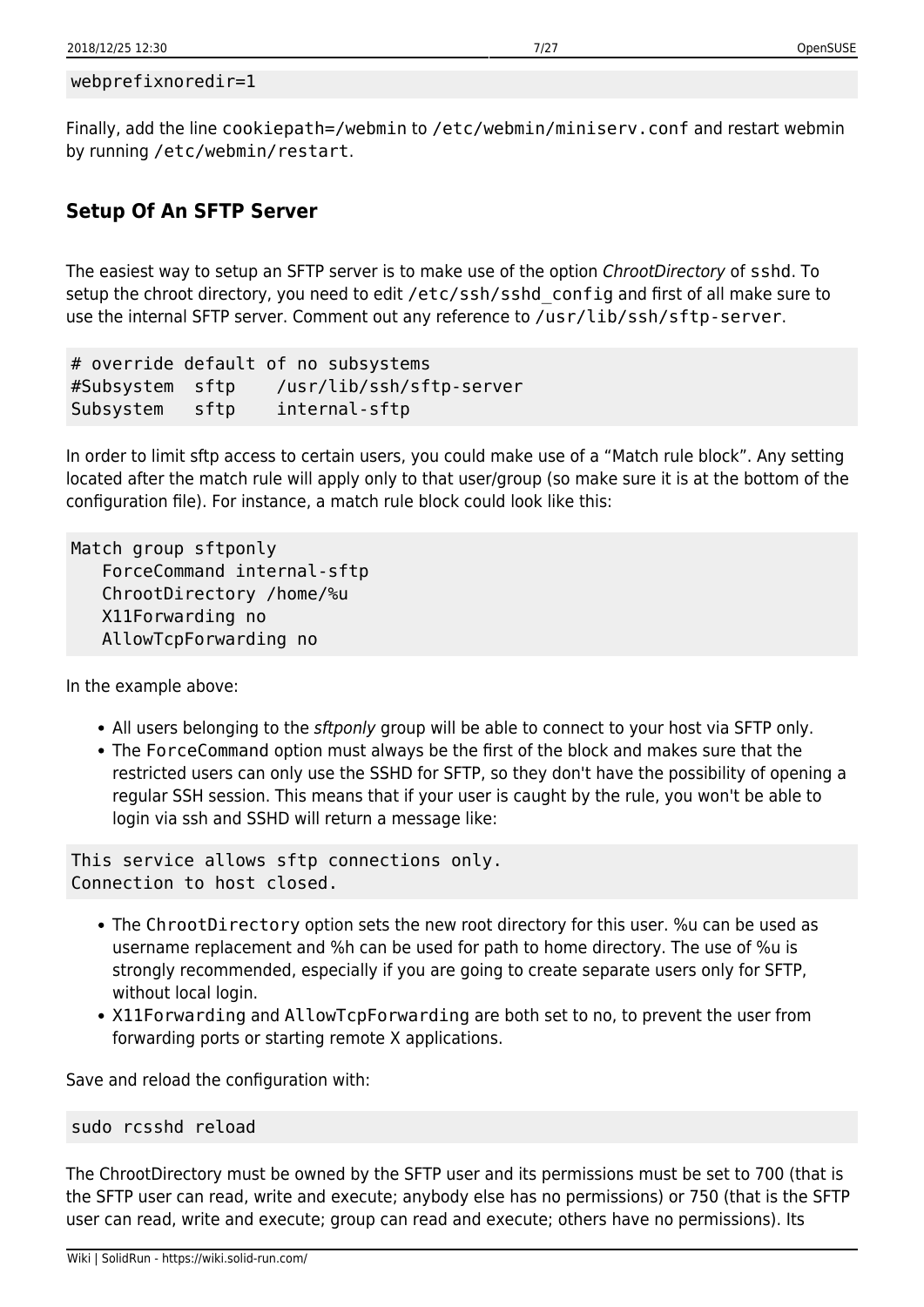```
webprefixnoredir=1
```
Finally, add the line cookiepath=/webmin to /etc/webmin/miniserv.conf and restart webmin by running /etc/webmin/restart.

# **Setup Of An SFTP Server**

The easiest way to setup an SFTP server is to make use of the option ChrootDirectory of sshd. To setup the chroot directory, you need to edit /etc/ssh/sshd config and first of all make sure to use the internal SFTP server. Comment out any reference to /usr/lib/ssh/sftp-server.

```
# override default of no subsystems
#Subsystem sftp /usr/lib/ssh/sftp-server
Subsystem sftp internal-sftp
```
In order to limit sftp access to certain users, you could make use of a "Match rule block". Any setting located after the match rule will apply only to that user/group (so make sure it is at the bottom of the configuration file). For instance, a match rule block could look like this:

```
Match group sftponly
    ForceCommand internal-sftp
    ChrootDirectory /home/%u
    X11Forwarding no
    AllowTcpForwarding no
```
In the example above:

- All users belonging to the *sftponly* group will be able to connect to your host via SFTP only.
- The ForceCommand option must always be the first of the block and makes sure that the restricted users can only use the SSHD for SFTP, so they don't have the possibility of opening a regular SSH session. This means that if your user is caught by the rule, you won't be able to login via ssh and SSHD will return a message like:

This service allows sftp connections only. Connection to host closed.

- The ChrootDirectory option sets the new root directory for this user. %u can be used as username replacement and %h can be used for path to home directory. The use of %u is strongly recommended, especially if you are going to create separate users only for SFTP, without local login.
- X11Forwarding and AllowTcpForwarding are both set to no, to prevent the user from forwarding ports or starting remote X applications.

Save and reload the configuration with:

```
sudo rcsshd reload
```
The ChrootDirectory must be owned by the SFTP user and its permissions must be set to 700 (that is the SFTP user can read, write and execute; anybody else has no permissions) or 750 (that is the SFTP user can read, write and execute; group can read and execute; others have no permissions). Its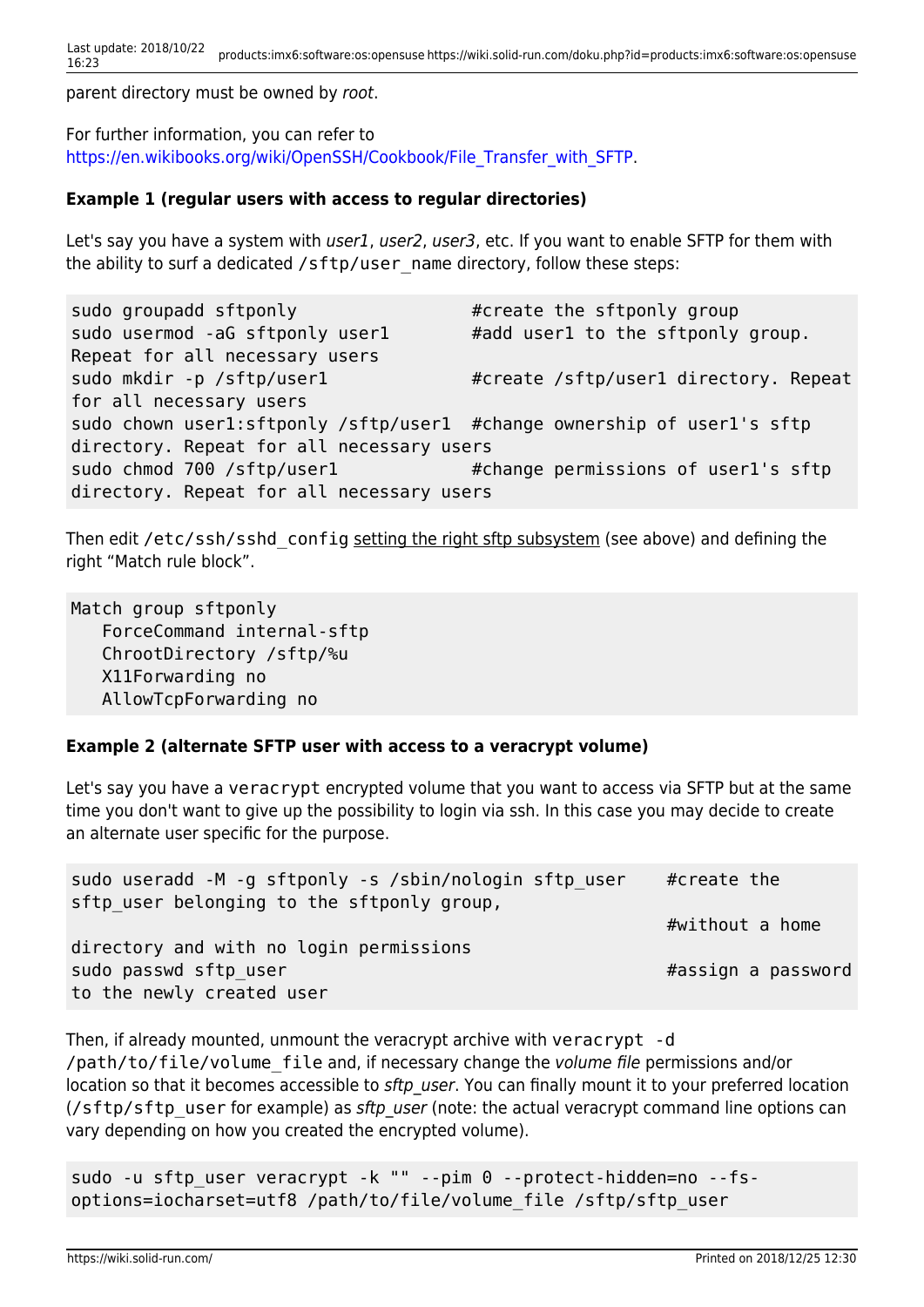parent directory must be owned by root.

For further information, you can refer to [https://en.wikibooks.org/wiki/OpenSSH/Cookbook/File\\_Transfer\\_with\\_SFTP.](https://en.wikibooks.org/wiki/OpenSSH/Cookbook/File_Transfer_with_SFTP)

#### **Example 1 (regular users with access to regular directories)**

Let's say you have a system with user1, user2, user3, etc. If you want to enable SFTP for them with the ability to surf a dedicated /sftp/user\_name directory, follow these steps:

sudo groupadd sftponly example the sftponly group sudo usermod -aG sftponly user1 #add user1 to the sftponly group. Repeat for all necessary users sudo mkdir -p /sftp/user1 #create /sftp/user1 directory. Repeat for all necessary users sudo chown user1:sftponly /sftp/user1 #change ownership of user1's sftp directory. Repeat for all necessary users sudo chmod 700 /sftp/user1  $#$ change permissions of user1's sftp directory. Repeat for all necessary users

Then edit /etc/ssh/sshd\_config setting the right sftp subsystem (see above) and defining the right "Match rule block".

Match group sftponly ForceCommand internal-sftp ChrootDirectory /sftp/%u X11Forwarding no AllowTcpForwarding no

#### **Example 2 (alternate SFTP user with access to a veracrypt volume)**

Let's say you have a veracrypt encrypted volume that you want to access via SFTP but at the same time you don't want to give up the possibility to login via ssh. In this case you may decide to create an alternate user specific for the purpose.

| sudo useradd -M -g sftponly -s /sbin/nologin sftp user | #create the        |
|--------------------------------------------------------|--------------------|
| sftp user belonging to the sftponly group,             | #without a home    |
| directory and with no login permissions                |                    |
| sudo passwd sftp user                                  | #assign a password |
| to the newly created user                              |                    |

Then, if already mounted, unmount the veracrypt archive with veracrypt -d /path/to/file/volume\_file and, if necessary change the volume file permissions and/or location so that it becomes accessible to sftp user. You can finally mount it to your preferred location (/sftp/sftp\_user for example) as sftp\_user (note: the actual veracrypt command line options can vary depending on how you created the encrypted volume).

sudo -u sftp\_user veracrypt -k "" --pim 0 --protect-hidden=no --fsoptions=iocharset=utf8 /path/to/file/volume\_file /sftp/sftp\_user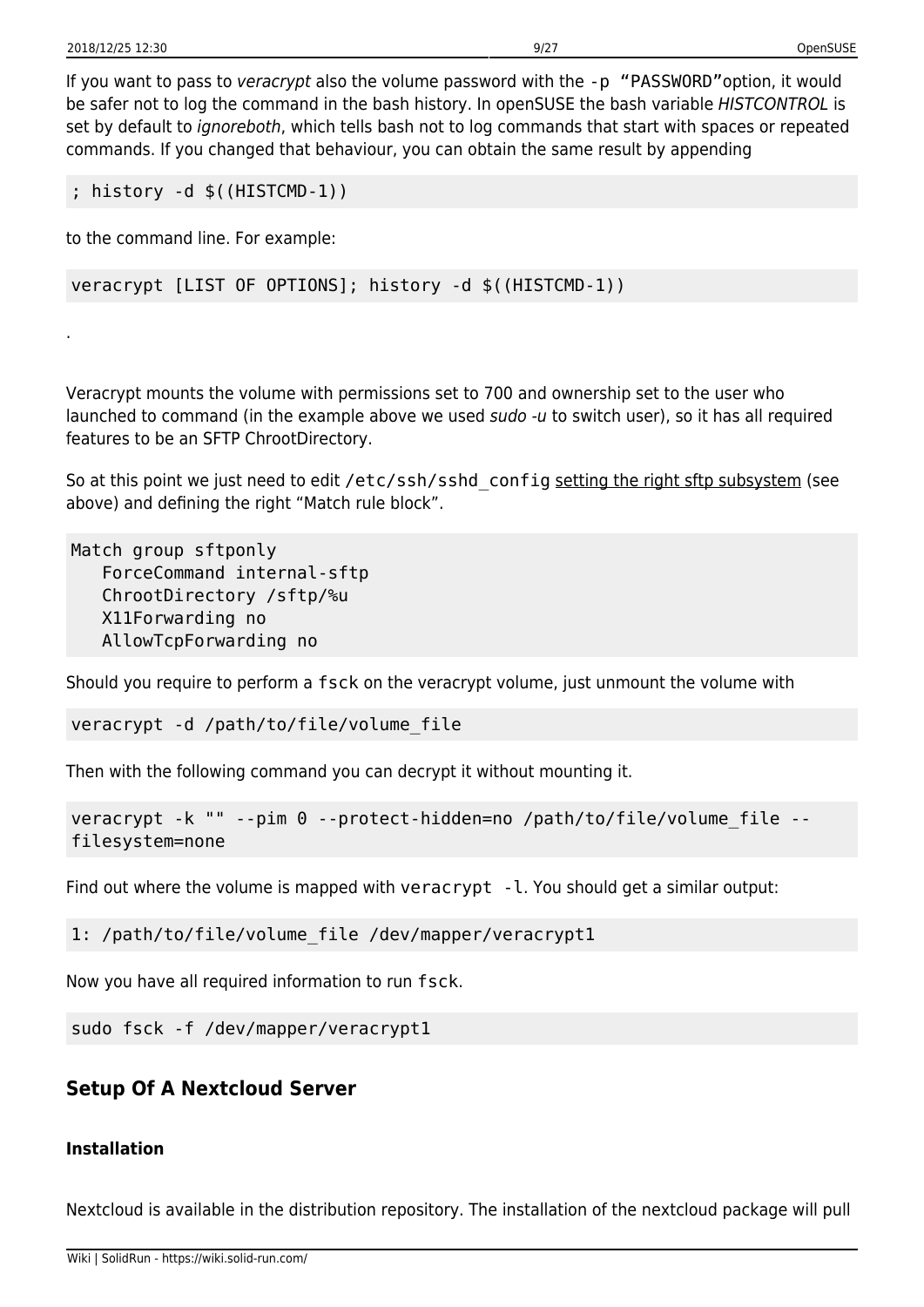.

If you want to pass to veracrypt also the volume password with the -p "PASSWORD" option, it would be safer not to log the command in the bash history. In openSUSE the bash variable HISTCONTROL is set by default to ignoreboth, which tells bash not to log commands that start with spaces or repeated commands. If you changed that behaviour, you can obtain the same result by appending

```
; history -d $((HISTCMD-1))
```
to the command line. For example:

```
veracrypt [LIST OF OPTIONS]; history -d $((HISTCMD-1))
```
Veracrypt mounts the volume with permissions set to 700 and ownership set to the user who launched to command (in the example above we used sudo -u to switch user), so it has all required features to be an SFTP ChrootDirectory.

So at this point we just need to edit /etc/ssh/sshd\_config setting the right sftp subsystem (see above) and defining the right "Match rule block".

Match group sftponly ForceCommand internal-sftp ChrootDirectory /sftp/%u X11Forwarding no AllowTcpForwarding no

Should you require to perform a fsck on the veracrypt volume, just unmount the volume with

veracrypt -d /path/to/file/volume\_file

Then with the following command you can decrypt it without mounting it.

```
veracrypt -k "" --pim 0 --protect-hidden=no /path/to/file/volume_file --
filesystem=none
```
Find out where the volume is mapped with veracrypt  $-1$ . You should get a similar output:

1: /path/to/file/volume\_file /dev/mapper/veracrypt1

Now you have all required information to run fsck.

sudo fsck -f /dev/mapper/veracrypt1

# **Setup Of A Nextcloud Server**

# **Installation**

Nextcloud is available in the distribution repository. The installation of the nextcloud package will pull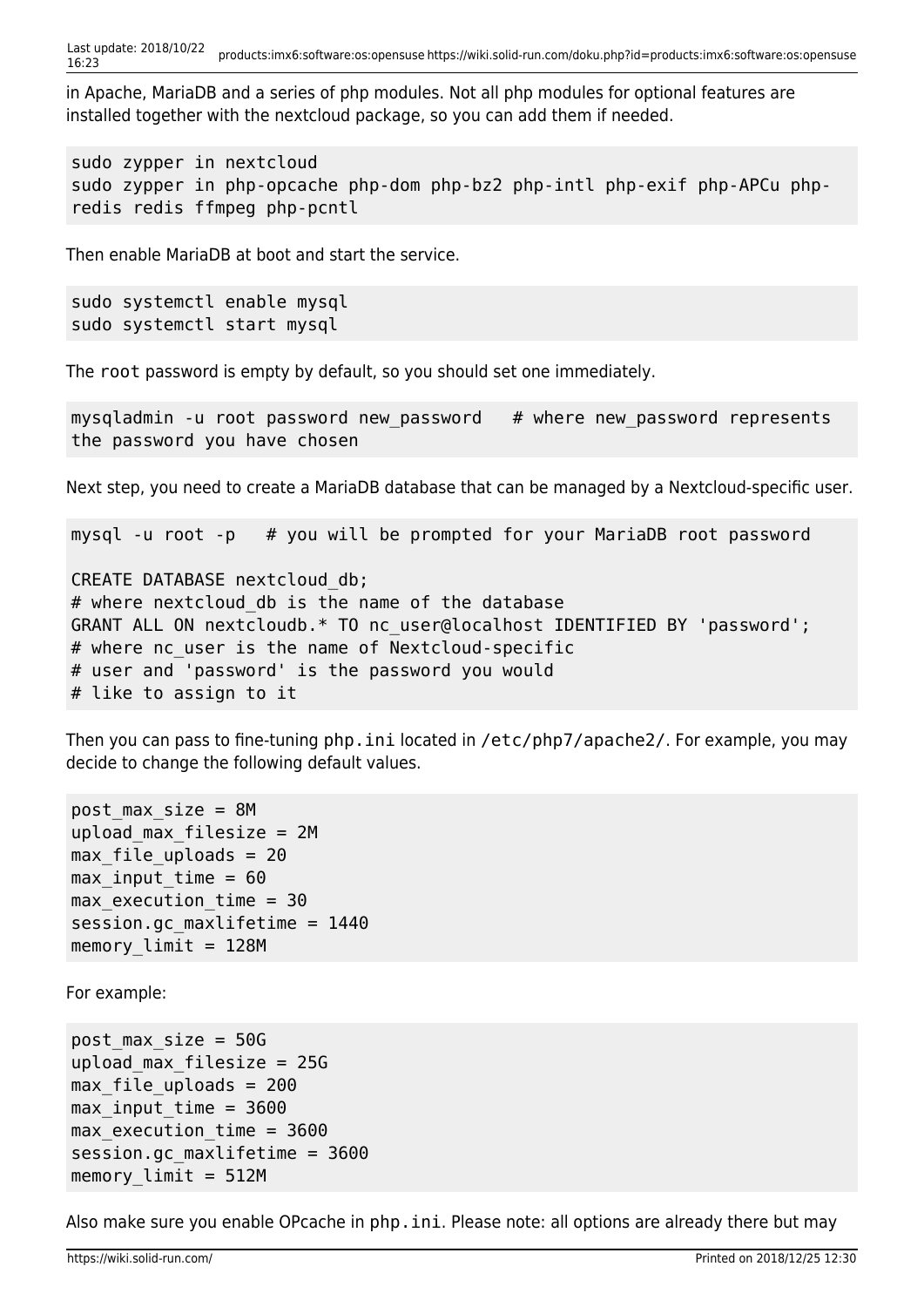Last update: 2018/10/22 16:23 products:imx6:software:os:opensuse https://wiki.solid-run.com/doku.php?id=products:imx6:software:os:opensuse

in Apache, MariaDB and a series of php modules. Not all php modules for optional features are installed together with the nextcloud package, so you can add them if needed.

sudo zypper in nextcloud sudo zypper in php-opcache php-dom php-bz2 php-intl php-exif php-APCu phpredis redis ffmpeg php-pcntl

Then enable MariaDB at boot and start the service.

```
sudo systemctl enable mysql
sudo systemctl start mysql
```
The root password is empty by default, so you should set one immediately.

mysqladmin -u root password new\_password # where new\_password represents the password you have chosen

Next step, you need to create a MariaDB database that can be managed by a Nextcloud-specific user.

mysql -u root -p # you will be prompted for your MariaDB root password

CREATE DATABASE nextcloud\_db; # where nextcloud db is the name of the database GRANT ALL ON nextcloudb.\* TO nc\_user@localhost IDENTIFIED BY 'password'; # where nc\_user is the name of Nextcloud-specific # user and 'password' is the password you would # like to assign to it

Then you can pass to fine-tuning php.ini located in /etc/php7/apache2/. For example, you may decide to change the following default values.

```
post max size = 8Mupload max filesize = 2Mmax file uploads = 20max input time = 60max execution time = 30session.gc maxlifetime = 1440memory limit = 128M
```
For example:

```
post max size = 50Gupload max filesize = 25Gmax file uploads = 200max input time = 3600
max execution time = 3600
session.gc maxlifetime = 3600
memory limit = 512M
```
Also make sure you enable OPcache in php. ini. Please note: all options are already there but may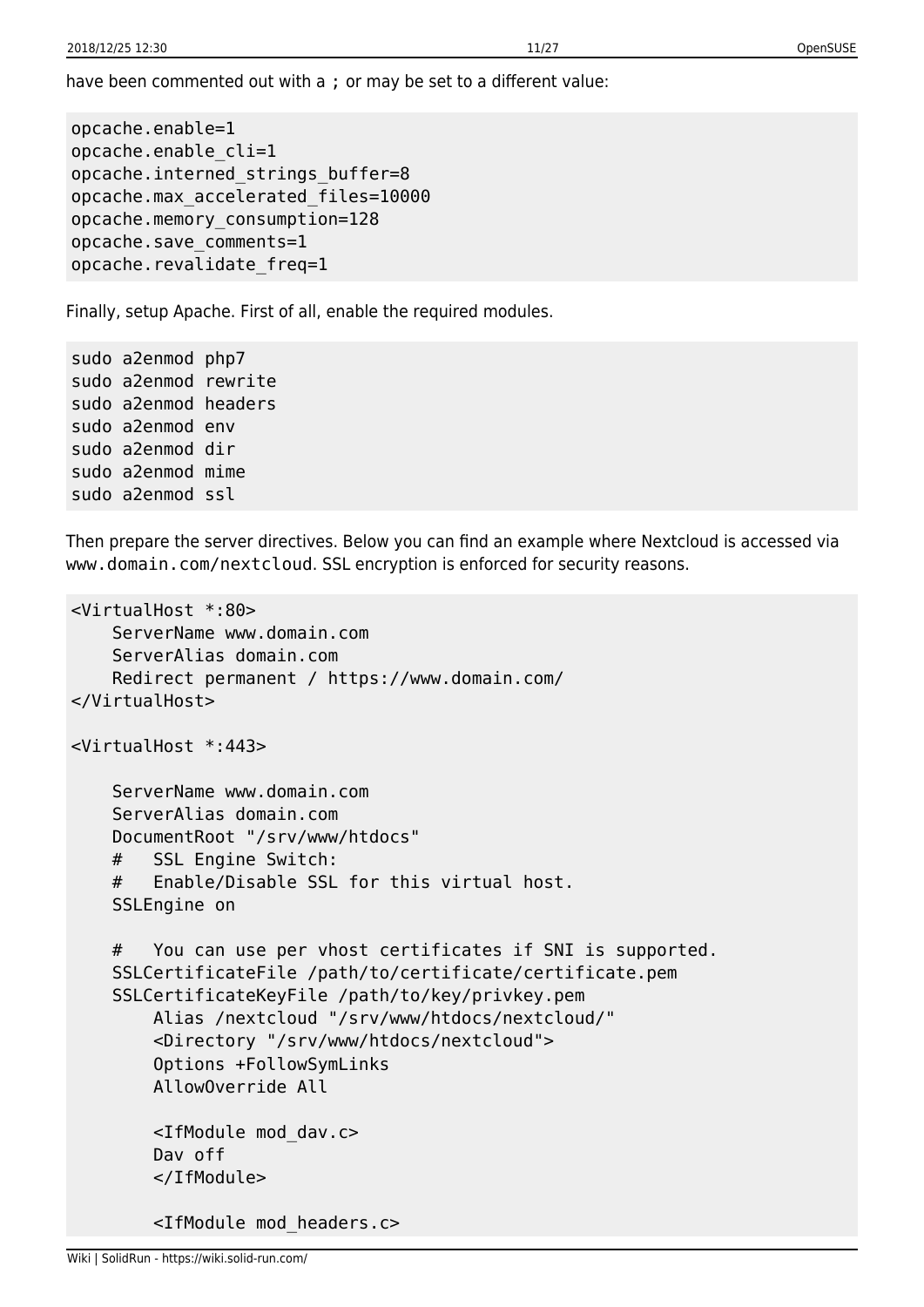have been commented out with a ; or may be set to a different value:

```
opcache.enable=1
opcache.enable_cli=1
opcache.interned_strings_buffer=8
opcache.max_accelerated_files=10000
opcache.memory_consumption=128
opcache.save_comments=1
opcache.revalidate_freq=1
```
Finally, setup Apache. First of all, enable the required modules.

```
sudo a2enmod php7
sudo a2enmod rewrite
sudo a2enmod headers
sudo a2enmod env
sudo a2enmod dir
sudo a2enmod mime
sudo a2enmod ssl
```
Then prepare the server directives. Below you can find an example where Nextcloud is accessed via www.domain.com/nextcloud. SSL encryption is enforced for security reasons.

```
<VirtualHost *:80>
     ServerName www.domain.com
     ServerAlias domain.com
     Redirect permanent / https://www.domain.com/
</VirtualHost>
<VirtualHost *:443>
     ServerName www.domain.com
     ServerAlias domain.com
     DocumentRoot "/srv/www/htdocs"
     # SSL Engine Switch:
     # Enable/Disable SSL for this virtual host.
     SSLEngine on
     # You can use per vhost certificates if SNI is supported.
     SSLCertificateFile /path/to/certificate/certificate.pem
     SSLCertificateKeyFile /path/to/key/privkey.pem
         Alias /nextcloud "/srv/www/htdocs/nextcloud/"
         <Directory "/srv/www/htdocs/nextcloud">
         Options +FollowSymLinks
         AllowOverride All
         <IfModule mod_dav.c>
         Dav off
         </IfModule>
         <IfModule mod_headers.c>
```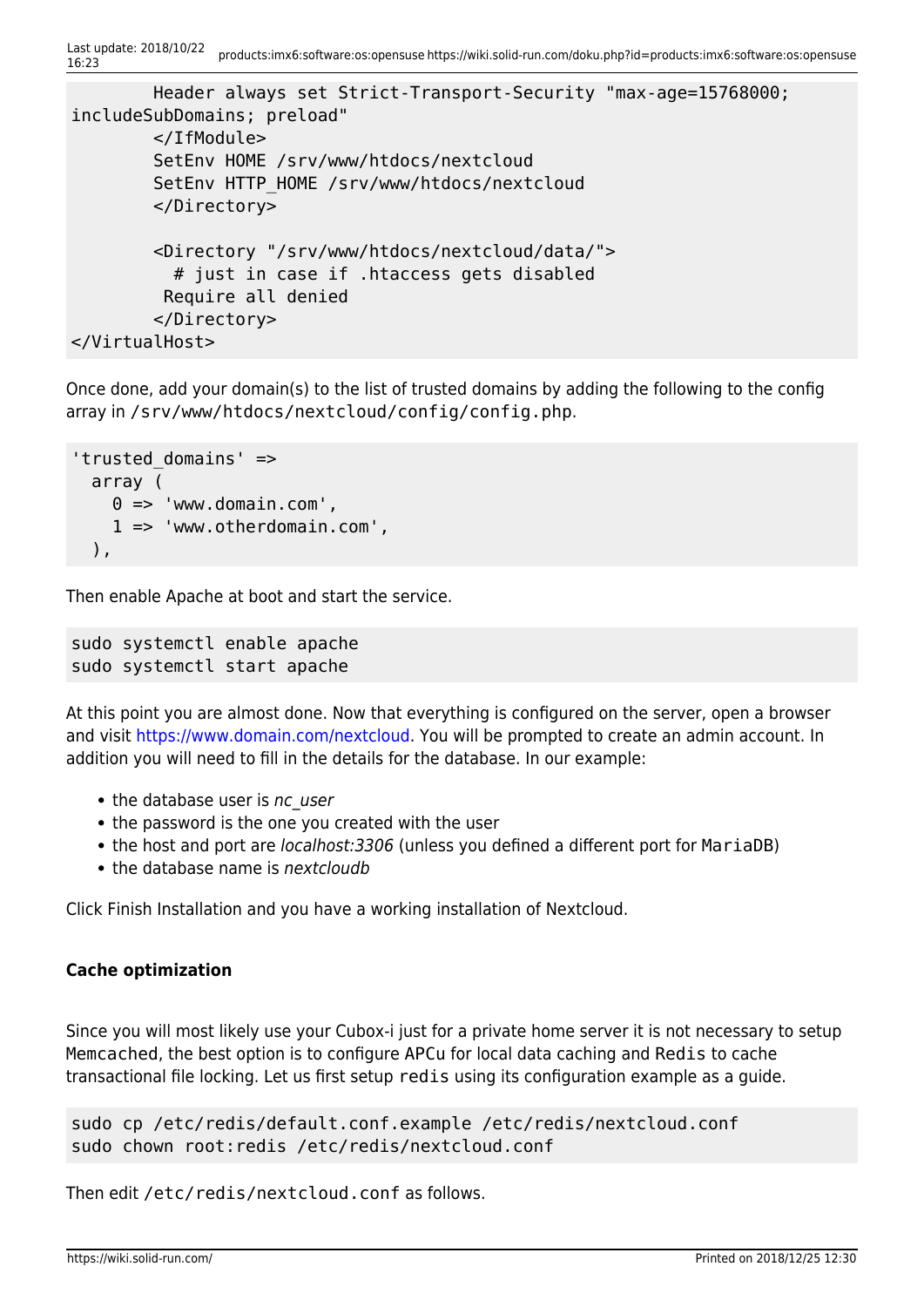```
 Header always set Strict-Transport-Security "max-age=15768000;
includeSubDomains; preload"
         </IfModule>
         SetEnv HOME /srv/www/htdocs/nextcloud
         SetEnv HTTP_HOME /srv/www/htdocs/nextcloud
         </Directory>
         <Directory "/srv/www/htdocs/nextcloud/data/">
           # just in case if .htaccess gets disabled
          Require all denied
         </Directory>
</VirtualHost>
```
Once done, add your domain(s) to the list of trusted domains by adding the following to the config array in /srv/www/htdocs/nextcloud/config/config.php.

```
'trusted_domains' =>
   array (
    0 \Rightarrow 'www.domain.com',
     1 => 'www.otherdomain.com',
   ),
```
Then enable Apache at boot and start the service.

sudo systemctl enable apache sudo systemctl start apache

At this point you are almost done. Now that everything is configured on the server, open a browser and visit <https://www.domain.com/nextcloud>. You will be prompted to create an admin account. In addition you will need to fill in the details for the database. In our example:

- the database user is nc user
- the password is the one you created with the user
- the host and port are *localhost:3306* (unless you defined a different port for MariaDB)
- $\bullet$  the database name is nextcloudb

Click Finish Installation and you have a working installation of Nextcloud.

# **Cache optimization**

Since you will most likely use your Cubox-i just for a private home server it is not necessary to setup Memcached, the best option is to configure APCu for local data caching and Redis to cache transactional file locking. Let us first setup redis using its configuration example as a guide.

sudo cp /etc/redis/default.conf.example /etc/redis/nextcloud.conf sudo chown root:redis /etc/redis/nextcloud.conf

Then edit /etc/redis/nextcloud.conf as follows.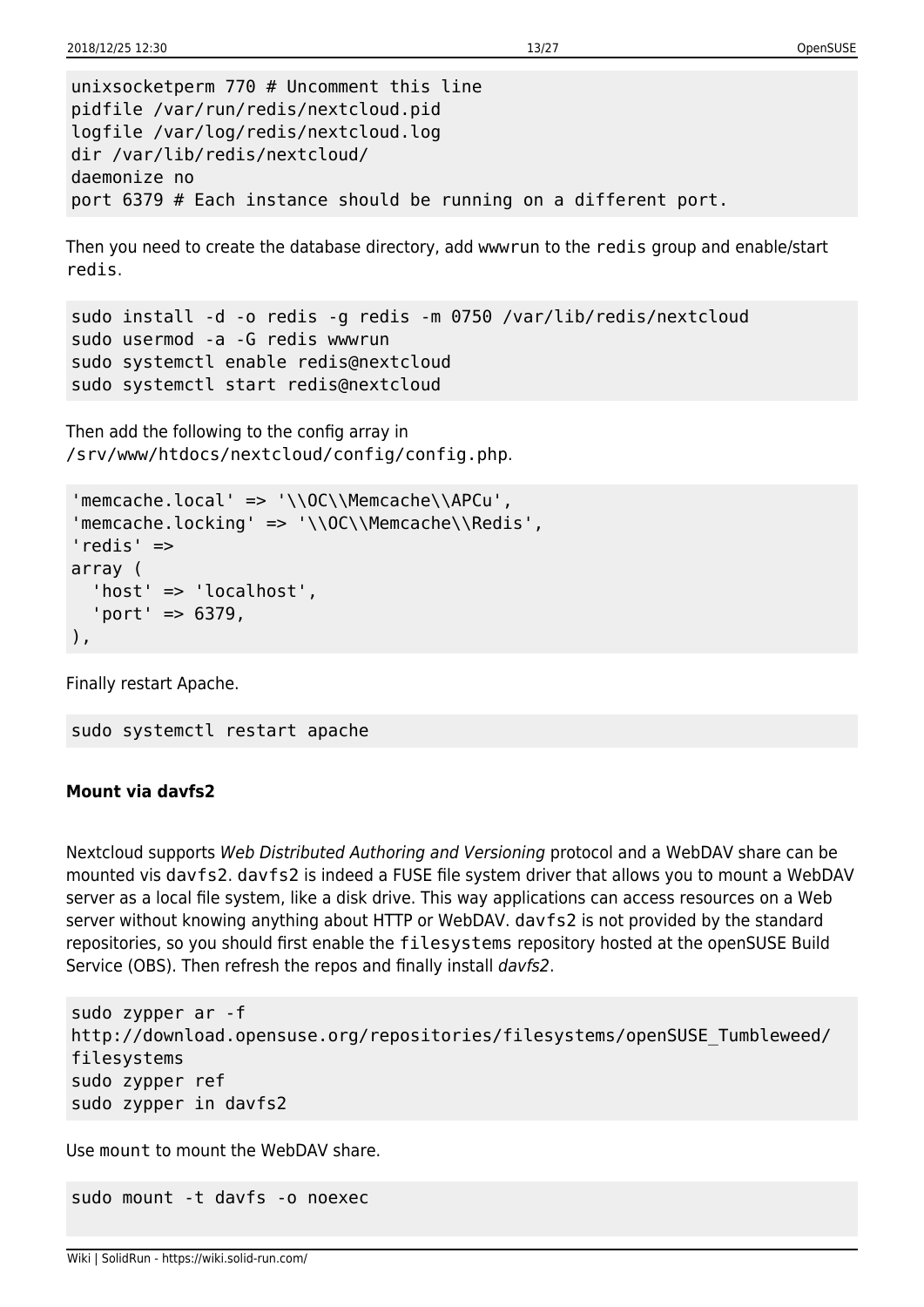```
unixsocketperm 770 # Uncomment this line
pidfile /var/run/redis/nextcloud.pid
logfile /var/log/redis/nextcloud.log
dir /var/lib/redis/nextcloud/
daemonize no
port 6379 # Each instance should be running on a different port.
```
Then you need to create the database directory, add wwwrun to the redis group and enable/start redis.

```
sudo install -d -o redis -g redis -m 0750 /var/lib/redis/nextcloud
sudo usermod -a -G redis wwwrun
sudo systemctl enable redis@nextcloud
sudo systemctl start redis@nextcloud
```
Then add the following to the config array in /srv/www/htdocs/nextcloud/config/config.php.

```
'memcache.local' => '\\OC\\Memcache\\APCu',
'memcache.locking' => '\\OC\\Memcache\\Redis',
'redis' =>
array (
   'host' => 'localhost',
   'port' => 6379,
),
```
Finally restart Apache.

```
sudo systemctl restart apache
```
#### **Mount via davfs2**

Nextcloud supports Web Distributed Authoring and Versioning protocol and a WebDAV share can be mounted vis davfs2. davfs2 is indeed a FUSE file system driver that allows you to mount a WebDAV server as a local file system, like a disk drive. This way applications can access resources on a Web server without knowing anything about HTTP or WebDAV. davfs2 is not provided by the standard repositories, so you should first enable the filesystems repository hosted at the openSUSE Build Service (OBS). Then refresh the repos and finally install davfs2.

```
sudo zypper ar -f
http://download.opensuse.org/repositories/filesystems/openSUSE_Tumbleweed/
filesystems
sudo zypper ref
sudo zypper in davfs2
```
Use mount to mount the WebDAV share.

sudo mount -t davfs -o noexec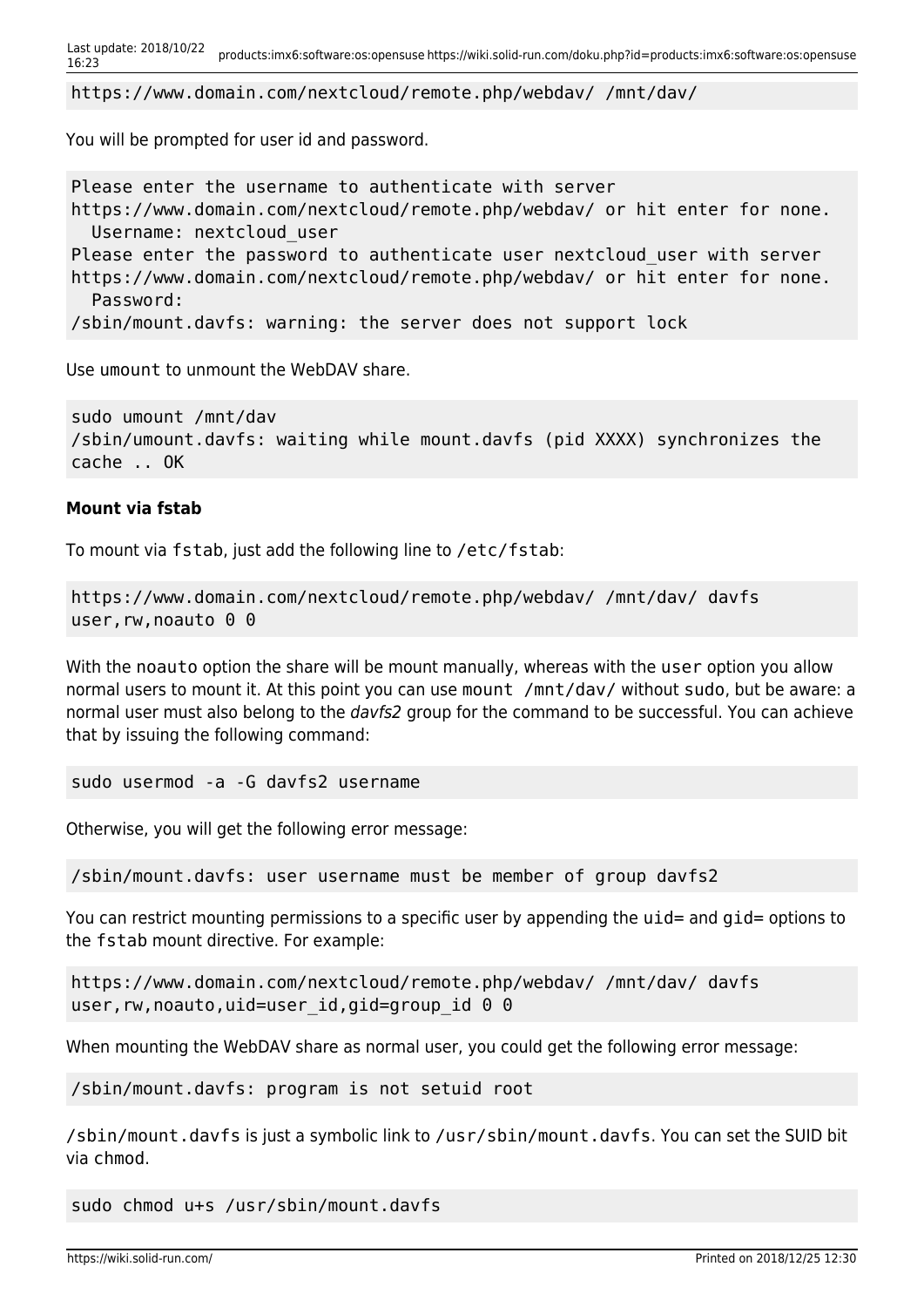```
Last update: 2018/10/22
```
https://www.domain.com/nextcloud/remote.php/webdav/ /mnt/dav/

You will be prompted for user id and password.

```
Please enter the username to authenticate with server
https://www.domain.com/nextcloud/remote.php/webdav/ or hit enter for none.
   Username: nextcloud_user
Please enter the password to authenticate user nextcloud user with server
https://www.domain.com/nextcloud/remote.php/webdav/ or hit enter for none.
   Password:
/sbin/mount.davfs: warning: the server does not support lock
```
Use umount to unmount the WebDAV share.

```
sudo umount /mnt/dav
/sbin/umount.davfs: waiting while mount.davfs (pid XXXX) synchronizes the
cache .. OK
```
# **Mount via fstab**

To mount via fstab, just add the following line to /etc/fstab:

```
https://www.domain.com/nextcloud/remote.php/webdav/ /mnt/dav/ davfs
user, rw, noauto 0 0
```
With the noauto option the share will be mount manually, whereas with the user option you allow normal users to mount it. At this point you can use mount /mnt/dav/ without sudo, but be aware: a normal user must also belong to the davfs2 group for the command to be successful. You can achieve that by issuing the following command:

sudo usermod -a -G davfs2 username

Otherwise, you will get the following error message:

/sbin/mount.davfs: user username must be member of group davfs2

You can restrict mounting permissions to a specific user by appending the uid= and gid= options to the fstab mount directive. For example:

https://www.domain.com/nextcloud/remote.php/webdav/ /mnt/dav/ davfs user, rw, noauto, uid=user id, gid=group id 0 0

When mounting the WebDAV share as normal user, you could get the following error message:

/sbin/mount.davfs: program is not setuid root

/sbin/mount.davfs is just a symbolic link to /usr/sbin/mount.davfs. You can set the SUID bit via chmod.

sudo chmod u+s /usr/sbin/mount.davfs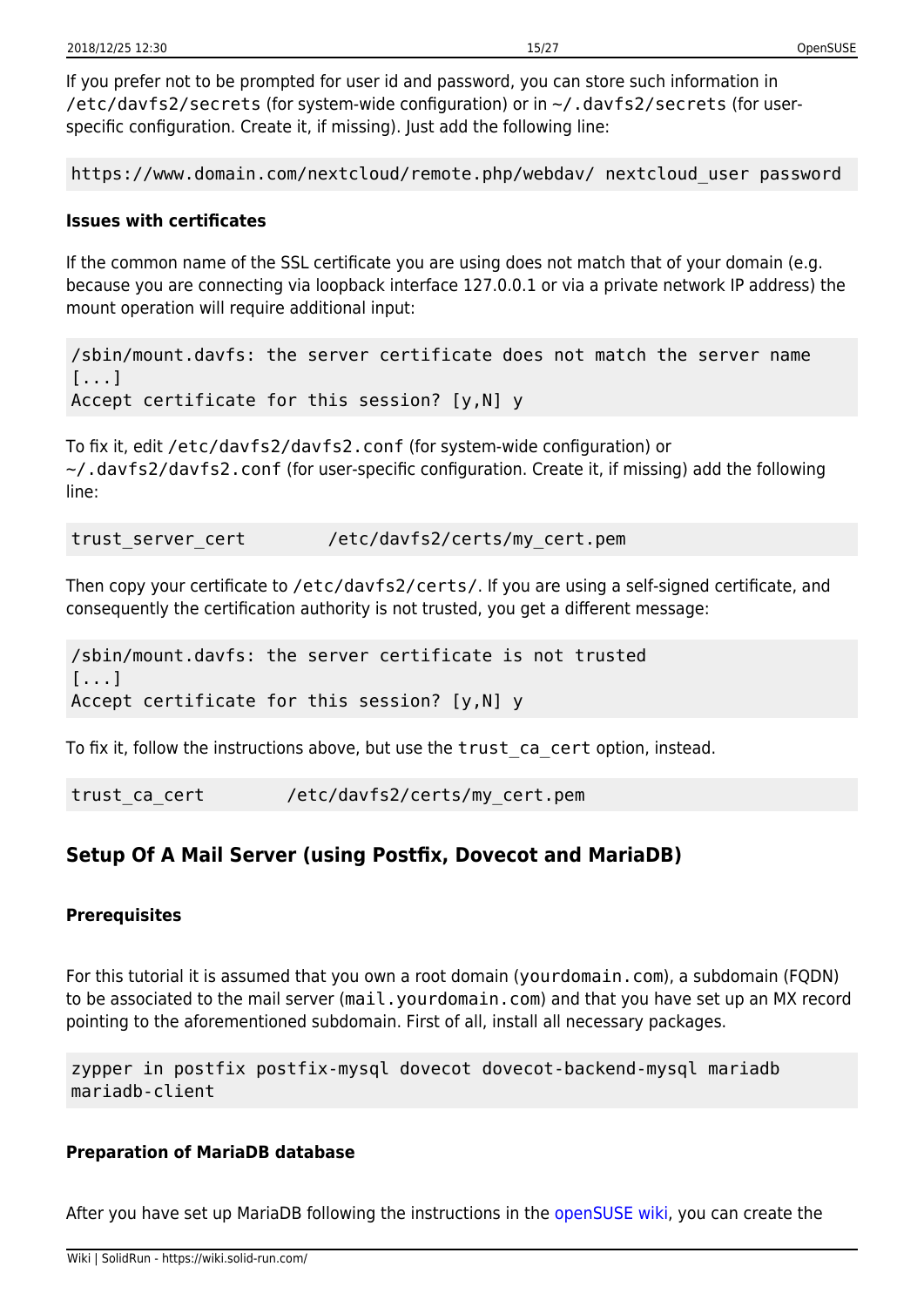If you prefer not to be prompted for user id and password, you can store such information in /etc/davfs2/secrets (for system-wide configuration) or in ~/.davfs2/secrets (for userspecific configuration. Create it, if missing). Just add the following line:

https://www.domain.com/nextcloud/remote.php/webdav/ nextcloud\_user password

#### **Issues with certificates**

If the common name of the SSL certificate you are using does not match that of your domain (e.g. because you are connecting via loopback interface 127.0.0.1 or via a private network IP address) the mount operation will require additional input:

/sbin/mount.davfs: the server certificate does not match the server name [...] Accept certificate for this session? [y,N] y

To fix it, edit /etc/davfs2/davfs2.conf (for system-wide configuration) or ~/.davfs2/davfs2.conf (for user-specific configuration. Create it, if missing) add the following line:

trust server cert /etc/davfs2/certs/my cert.pem

Then copy your certificate to /etc/davfs2/certs/. If you are using a self-signed certificate, and consequently the certification authority is not trusted, you get a different message:

/sbin/mount.davfs: the server certificate is not trusted [...] Accept certificate for this session? [y,N] y

To fix it, follow the instructions above, but use the trust\_ca\_cert option, instead.

trust ca cert /etc/davfs2/certs/my cert.pem

# **Setup Of A Mail Server (using Postfix, Dovecot and MariaDB)**

#### **Prerequisites**

For this tutorial it is assumed that you own a root domain (yourdomain.com), a subdomain (FQDN) to be associated to the mail server (mail.yourdomain.com) and that you have set up an MX record pointing to the aforementioned subdomain. First of all, install all necessary packages.

zypper in postfix postfix-mysql dovecot dovecot-backend-mysql mariadb mariadb-client

#### **Preparation of MariaDB database**

After you have set up MariaDB following the instructions in the [openSUSE wiki,](https://en.opensuse.org/SDB:LAMP_setup#Setting_up_MariaDB) you can create the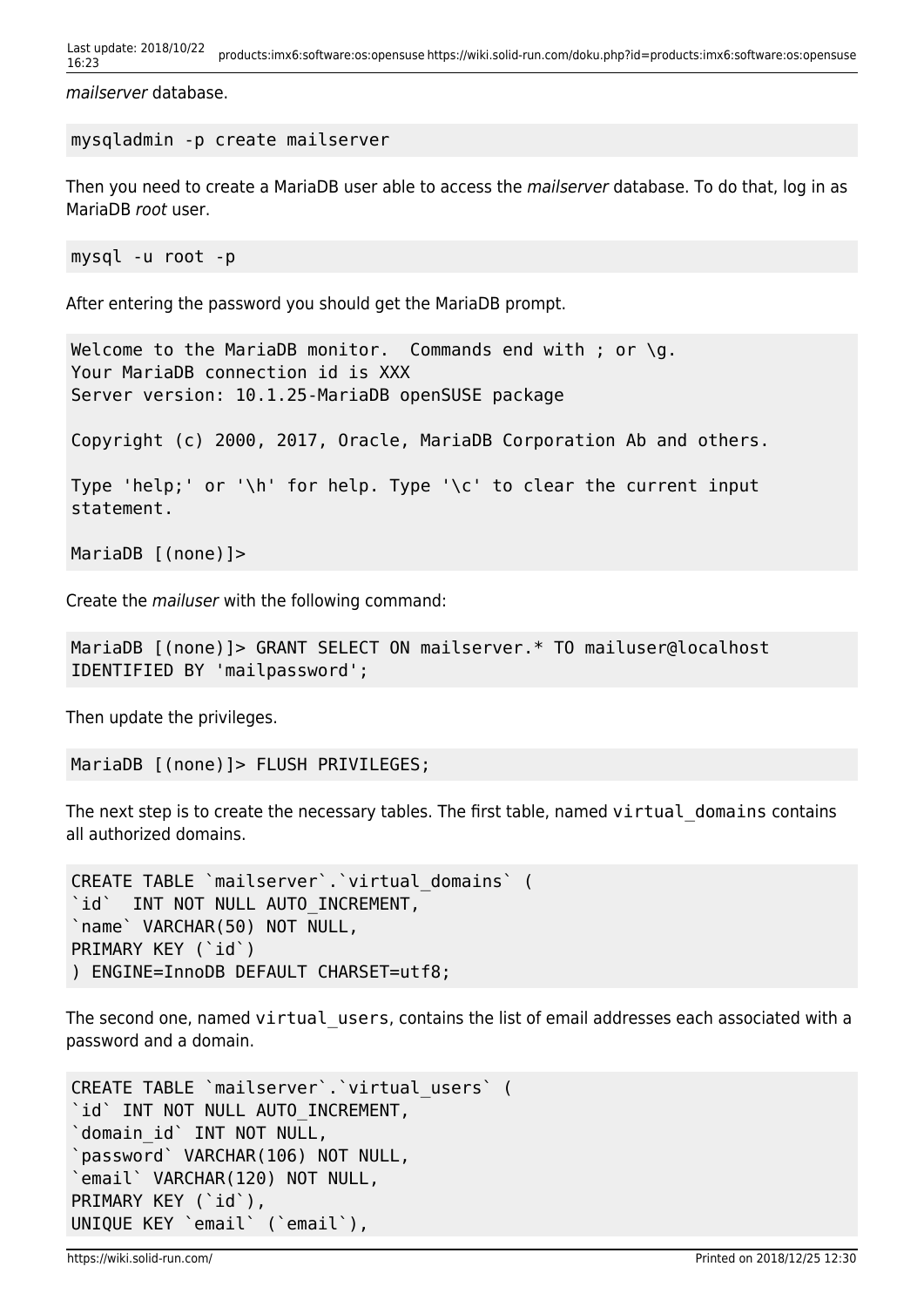```
Last update: 2018/10/22
16:23 products:imx6:software:os:opensuse https://wiki.solid-run.com/doku.php?id=products:imx6:software:os:opensuse
```
mailserver database.

```
mysqladmin -p create mailserver
```
Then you need to create a MariaDB user able to access the *mailserver* database. To do that, log in as MariaDB root user.

mysql -u root -p

After entering the password you should get the MariaDB prompt.

```
Welcome to the MariaDB monitor. Commands end with ; or \qquadq.
Your MariaDB connection id is XXX
Server version: 10.1.25-MariaDB openSUSE package
```
Copyright (c) 2000, 2017, Oracle, MariaDB Corporation Ab and others.

```
Type 'help;' or '\h' for help. Type '\c' to clear the current input
statement.
```

```
MariaDB [(none)]>
```
Create the mailuser with the following command:

```
MariaDB [(none)]> GRANT SELECT ON mailserver.* TO mailuser@localhost
IDENTIFIED BY 'mailpassword';
```
Then update the privileges.

```
MariaDB [(none)]> FLUSH PRIVILEGES;
```
The next step is to create the necessary tables. The first table, named virtual domains contains all authorized domains.

```
CREATE TABLE `mailserver`.`virtual_domains` (
`id` INT NOT NULL AUTO_INCREMENT,
`name` VARCHAR(50) NOT NULL,
PRIMARY KEY (`id`)
) ENGINE=InnoDB DEFAULT CHARSET=utf8;
```
The second one, named virtual users, contains the list of email addresses each associated with a password and a domain.

```
CREATE TABLE `mailserver`.`virtual_users` (
`id` INT NOT NULL AUTO INCREMENT,
`domain_id` INT NOT NULL,
`password` VARCHAR(106) NOT NULL,
`email` VARCHAR(120) NOT NULL,
PRIMARY KEY (`id`),
UNIQUE KEY `email` (`email`),
```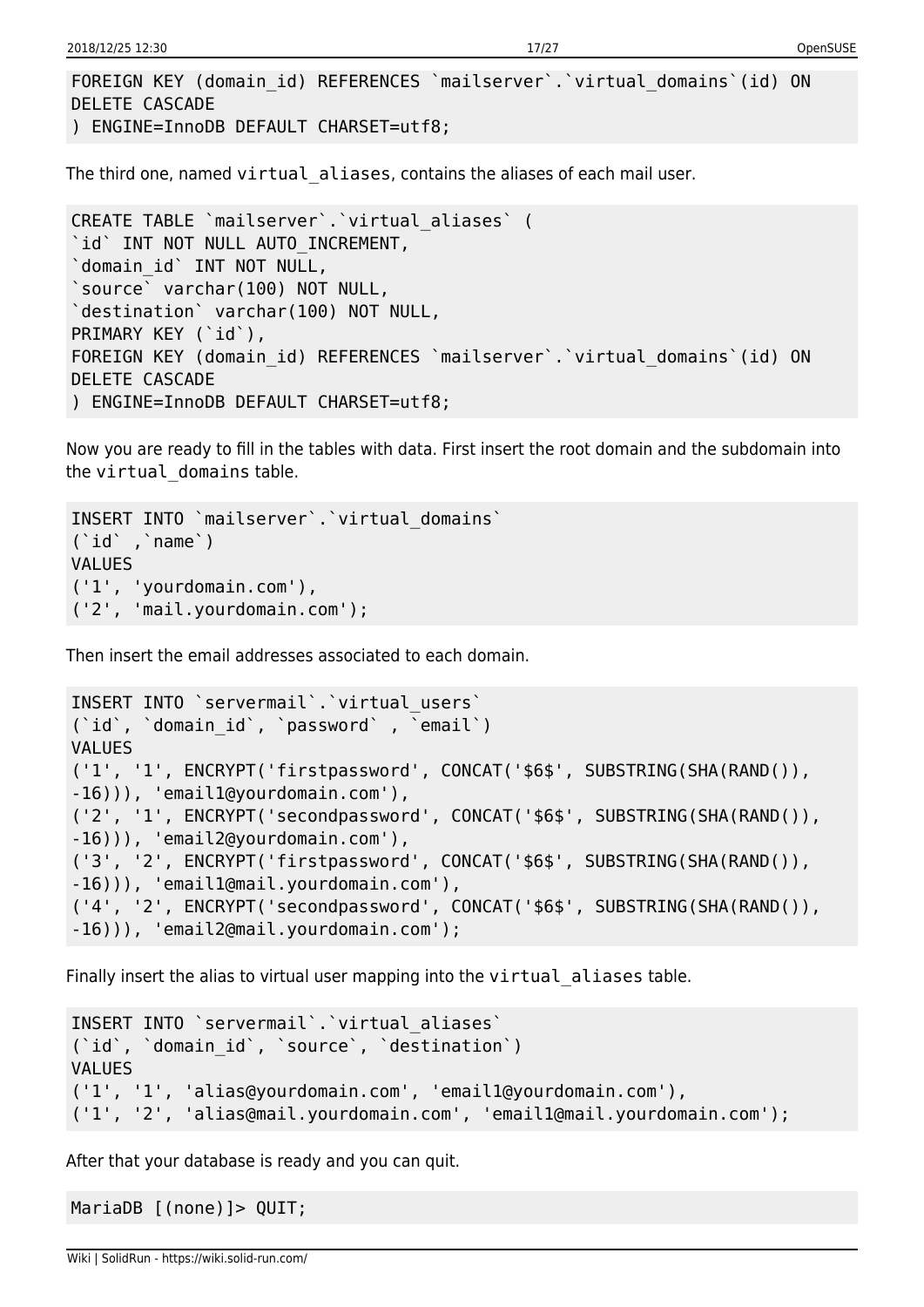```
FOREIGN KEY (domain id) REFERENCES `mailserver`.`virtual domains`(id) ON
DELETE CASCADE
```

```
) ENGINE=InnoDB DEFAULT CHARSET=utf8;
```
The third one, named virtual\_aliases, contains the aliases of each mail user.

```
CREATE TABLE `mailserver`.`virtual_aliases` (
`id` INT NOT NULL AUTO INCREMENT,
`domain_id` INT NOT NULL,
`source` varchar(100) NOT NULL,
`destination` varchar(100) NOT NULL,
PRIMARY KEY (`id`),
FOREIGN KEY (domain_id) REFERENCES `mailserver`.`virtual_domains`(id) ON
DELETE CASCADE
) ENGINE=InnoDB DEFAULT CHARSET=utf8;
```
Now you are ready to fill in the tables with data. First insert the root domain and the subdomain into the virtual domains table.

```
INSERT INTO `mailserver`.`virtual_domains`
(`id` ,`name`)
VALUES
('1', 'yourdomain.com'),
('2', 'mail.yourdomain.com');
```
Then insert the email addresses associated to each domain.

```
INSERT INTO `servermail`.`virtual_users`
('id', 'domain id', 'password' , 'email')
VALUES
('1', '1', ENCRYPT('firstpassword', CONCAT('$6$', SUBSTRING(SHA(RAND()),
-16))), 'email1@yourdomain.com'),
('2', '1', ENCRYPT('secondpassword', CONCAT('$6$', SUBSTRING(SHA(RAND()),
-16))), 'email2@yourdomain.com'),
('3', '2', ENCRYPT('firstpassword', CONCAT('$6$', SUBSTRING(SHA(RAND()),
-16))), 'email1@mail.yourdomain.com'),
('4', '2', ENCRYPT('secondpassword', CONCAT('$6$', SUBSTRING(SHA(RAND()),
-16))), 'email2@mail.yourdomain.com');
```
Finally insert the alias to virtual user mapping into the virtual aliases table.

```
INSERT INTO `servermail`.`virtual_aliases`
('id', 'domain id', 'source', 'destination')
VALUES
('1', '1', 'alias@yourdomain.com', 'email1@yourdomain.com'),
('1', '2', 'alias@mail.yourdomain.com', 'email1@mail.yourdomain.com');
```
After that your database is ready and you can quit.

MariaDB [(none)]> QUIT;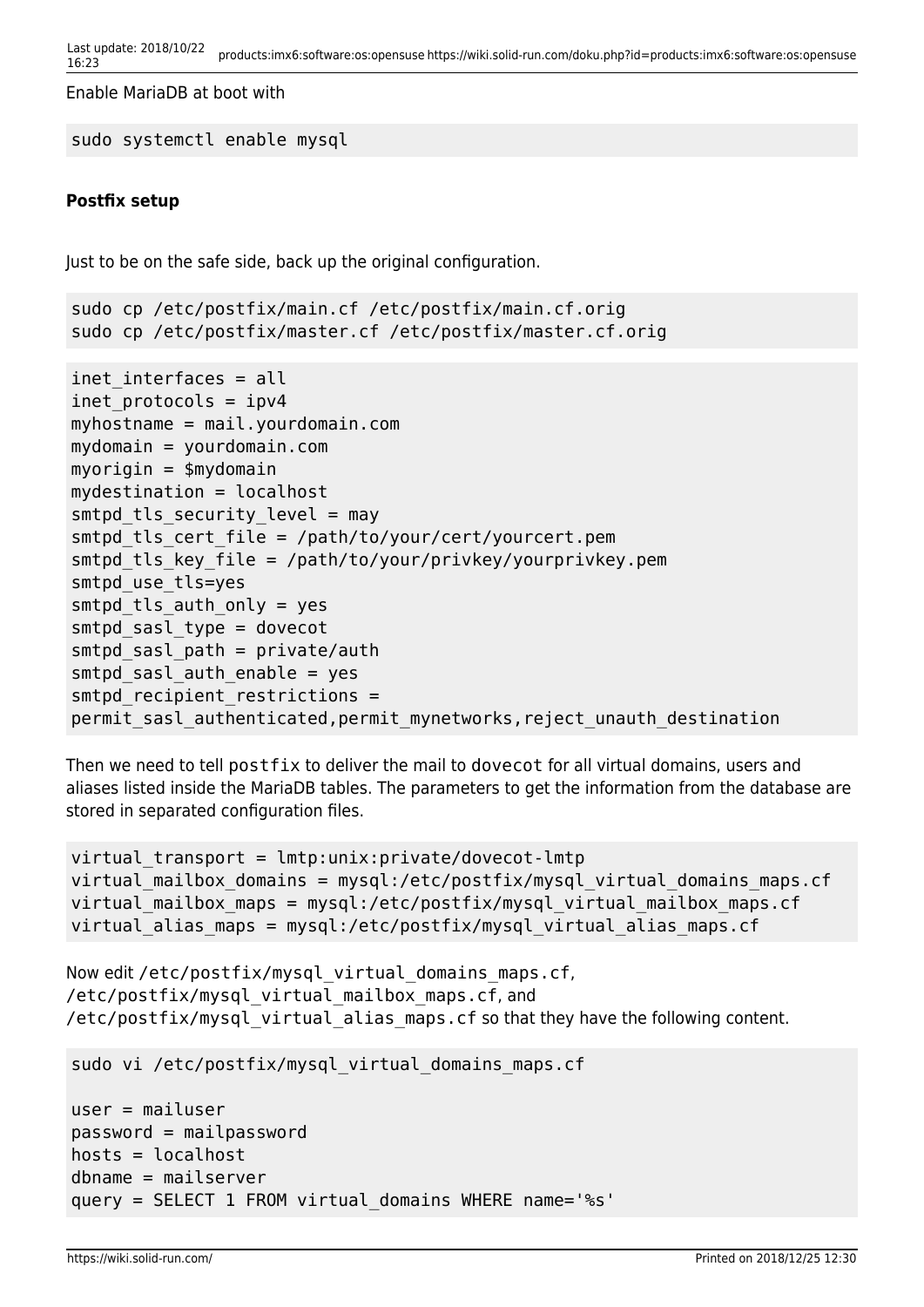```
Last update: 2018/10/22
```
Enable MariaDB at boot with

```
sudo systemctl enable mysql
```
# **Postfix setup**

Just to be on the safe side, back up the original configuration.

```
sudo cp /etc/postfix/main.cf /etc/postfix/main.cf.orig
sudo cp /etc/postfix/master.cf /etc/postfix/master.cf.orig
inet interfaces = all
inet protocols = ipv4myhostname = mail.yourdomain.com
mydomain = yourdomain.com
myorigin = $mydomain
mydestination = localhost
smtpd tls security level = may
smtpd_tls_cert_file = /path/to/your/cert/yourcert.pem
smtpd tls key file = /path/to/your/privkey/yourprivkey.pem
smtpd_use_tls=yes
smtpd tls auth only = yes
smtpd_sasl_type = dovecot
smtpd sasl path = private/authsmtpd sasl auth enable = yes
smtpd recipient restrictions =
permit_sasl_authenticated,permit_mynetworks,reject_unauth_destination
```
Then we need to tell postfix to deliver the mail to dovecot for all virtual domains, users and aliases listed inside the MariaDB tables. The parameters to get the information from the database are stored in separated configuration files.

```
virtual\ tranport = lmtp:unix:private/dovecot-lmtpvirtual mailbox domains = mysql:/etc/postfix/mysql virtual domains maps.cf
virtual mailbox maps = mysql:/etc/postfix/mysql virtual mailbox maps.cf
virtual alias maps = mysql:/etc/postfix/mysql virtual alias maps.cf
```

```
Now edit /etc/postfix/mysql_virtual_domains_maps.cf,
/etc/postfix/mysql_virtual_mailbox_maps.cf, and
/etc/postfix/mysql_virtual_alias_maps.cf so that they have the following content.
```

```
sudo vi /etc/postfix/mysql_virtual_domains_maps.cf
```

```
user = mailuser
password = mailpassword
hosts = localhostdbname = mailserver
query = SELECT 1 FROM virtual_domains WHERE name='%s'
```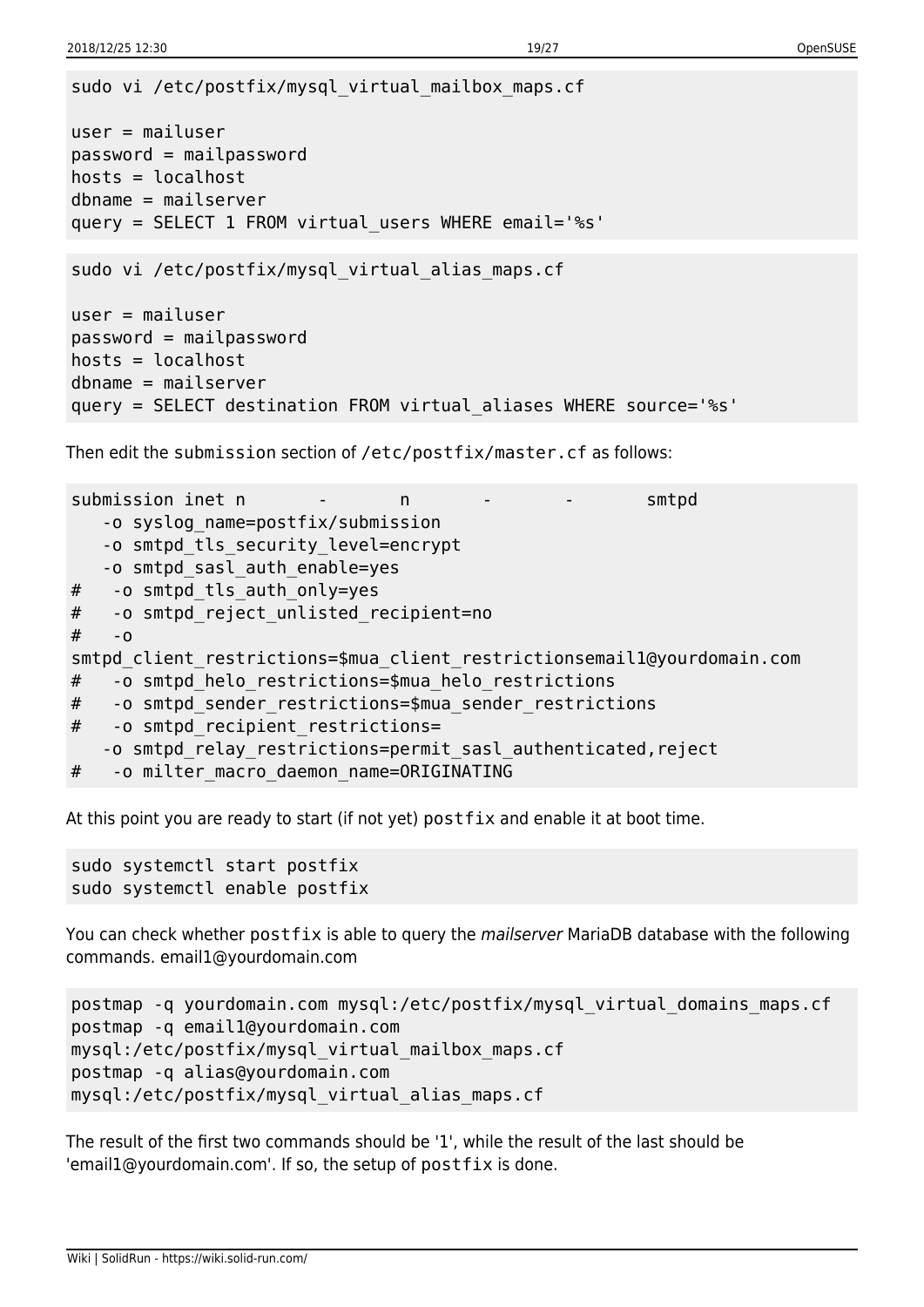```
sudo vi /etc/postfix/mysql_virtual_mailbox_maps.cf
user = mailuser
password = mailpassword
hosts = localhostdbname = mailserver
query = SELECT 1 FROM virtual_users WHERE email='%s'
sudo vi /etc/postfix/mysql_virtual_alias_maps.cf
user = mailuser
password = mailpassword
hosts = localhostdbname = mailserver
query = SELECT destination FROM virtual_aliases WHERE source='%s'
```
Then edit the submission section of /etc/postfix/master.cf as follows:

```
submission inet n - n - - - smtpd
    -o syslog_name=postfix/submission
    -o smtpd_tls_security_level=encrypt
    -o smtpd_sasl_auth_enable=yes
# -o smtpd tls auth only=yes
# -o smtpd_reject_unlisted_recipient=no
# - o
smtpd client restrictions=$mua client restrictionsemail1@yourdomain.com
# -o smtpd_helo_restrictions=$mua_helo_restrictions
# -o smtpd sender restrictions=$mua sender restrictions
# -o smtpd recipient restrictions=
    -o smtpd_relay_restrictions=permit_sasl_authenticated,reject
# -o milter macro daemon name=ORIGINATING
```
At this point you are ready to start (if not yet) postfix and enable it at boot time.

sudo systemctl start postfix sudo systemctl enable postfix

You can check whether postfix is able to query the mailserver MariaDB database with the following commands. email1@yourdomain.com

```
postmap -q yourdomain.com mysql:/etc/postfix/mysql_virtual_domains_maps.cf
postmap -q email1@yourdomain.com
mysql:/etc/postfix/mysql_virtual_mailbox_maps.cf
postmap -q alias@yourdomain.com
mysql:/etc/postfix/mysql_virtual_alias_maps.cf
```
The result of the first two commands should be '1', while the result of the last should be 'email1@yourdomain.com'. If so, the setup of postfix is done.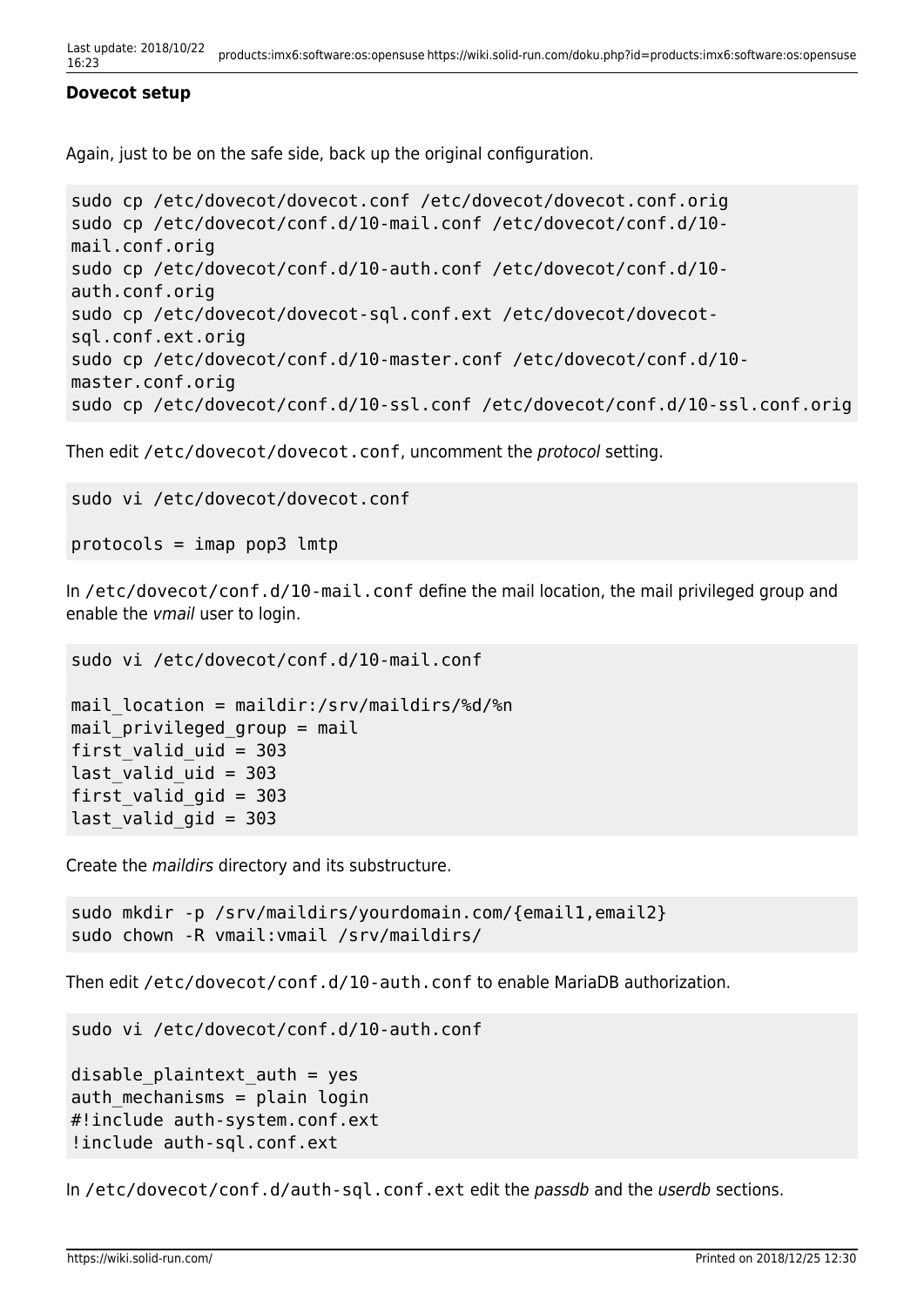#### **Dovecot setup**

Again, just to be on the safe side, back up the original configuration.

```
sudo cp /etc/dovecot/dovecot.conf /etc/dovecot/dovecot.conf.orig
sudo cp /etc/dovecot/conf.d/10-mail.conf /etc/dovecot/conf.d/10-
mail.conf.orig
sudo cp /etc/dovecot/conf.d/10-auth.conf /etc/dovecot/conf.d/10-
auth.conf.orig
sudo cp /etc/dovecot/dovecot-sql.conf.ext /etc/dovecot/dovecot-
sql.conf.ext.orig
sudo cp /etc/dovecot/conf.d/10-master.conf /etc/dovecot/conf.d/10-
master.conf.orig
sudo cp /etc/dovecot/conf.d/10-ssl.conf /etc/dovecot/conf.d/10-ssl.conf.orig
```
Then edit /etc/dovecot/dovecot.conf, uncomment the protocol setting.

```
sudo vi /etc/dovecot/dovecot.conf
```

```
protocols = imap pop3 lmtp
```
In /etc/dovecot/conf.d/10-mail.conf define the mail location, the mail privileged group and enable the vmail user to login.

```
sudo vi /etc/dovecot/conf.d/10-mail.conf
```

```
mail location = maildir:/srv/maildirs/%d/%n
mail privileged group = mail
first valid uid = 303last valid uid = 303first valid qid = 303last valid gid = 303
```
Create the maildirs directory and its substructure.

```
sudo mkdir -p /srv/maildirs/yourdomain.com/{email1,email2}
sudo chown -R vmail:vmail /srv/maildirs/
```
Then edit /etc/dovecot/conf.d/10-auth.conf to enable MariaDB authorization.

sudo vi /etc/dovecot/conf.d/10-auth.conf

```
disable plaintext auth = yes
auth mechanisms = plain login
#!include auth-system.conf.ext
!include auth-sql.conf.ext
```
In /etc/dovecot/conf.d/auth-sql.conf.ext edit the passdb and the userdb sections.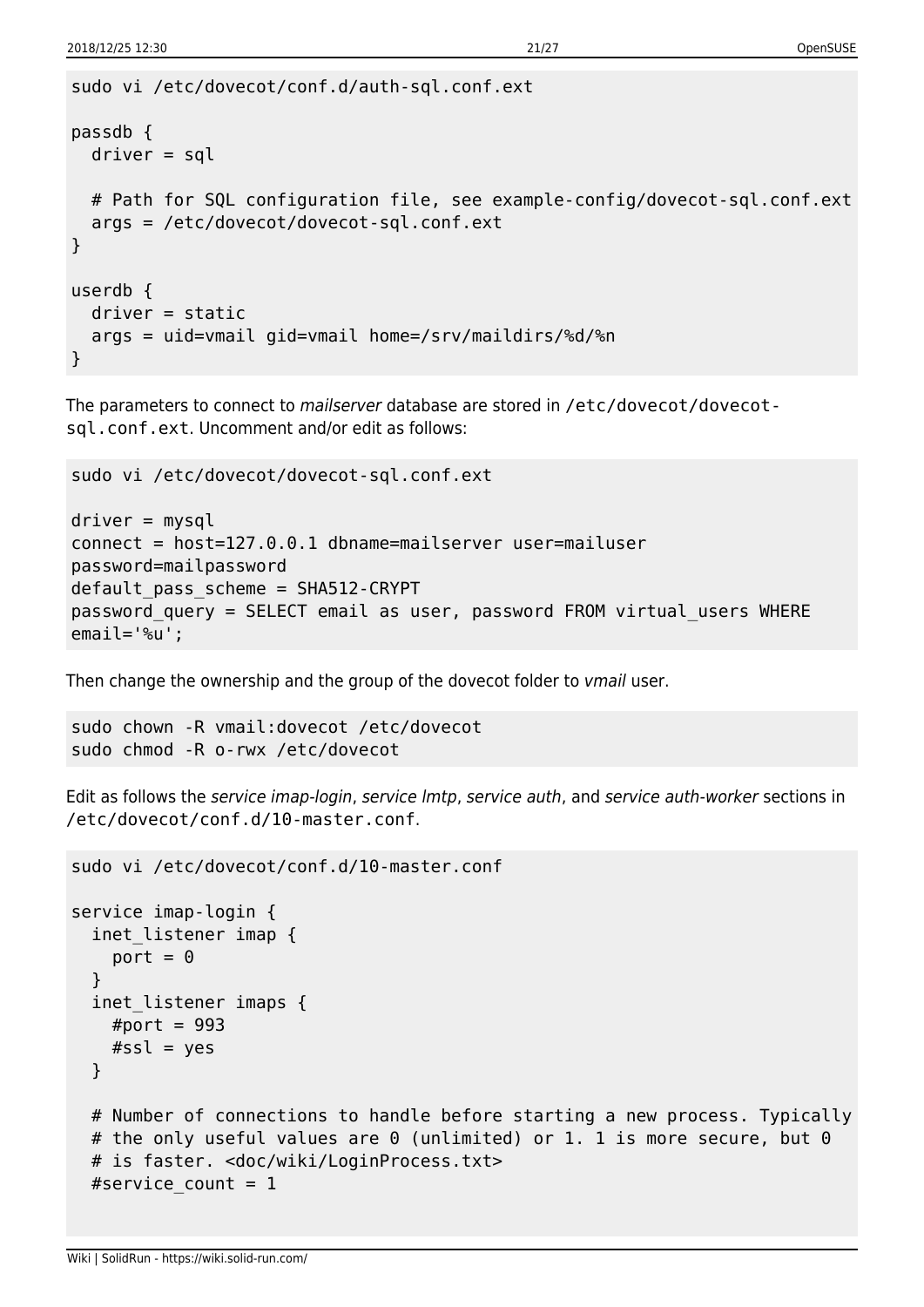```
sudo vi /etc/dovecot/conf.d/auth-sql.conf.ext
passdb {
   driver = sql
   # Path for SQL configuration file, see example-config/dovecot-sql.conf.ext
   args = /etc/dovecot/dovecot-sql.conf.ext
}
userdb {
   driver = static
   args = uid=vmail gid=vmail home=/srv/maildirs/%d/%n
}
```
The parameters to connect to mailserver database are stored in /etc/dovecot/dovecotsql.conf.ext. Uncomment and/or edit as follows:

sudo vi /etc/dovecot/dovecot-sql.conf.ext

```
driver = mysql
connect = host=127.0.0.1 dbname=mailserver user=mailuser
password=mailpassword
default_pass_scheme = SHA512-CRYPT
password_query = SELECT email as user, password FROM virtual_users WHERE
email='%u';
```
Then change the ownership and the group of the dovecot folder to *vmail* user.

```
sudo chown -R vmail:dovecot /etc/dovecot
sudo chmod -R o-rwx /etc/dovecot
```
Edit as follows the service imap-login, service lmtp, service auth, and service auth-worker sections in /etc/dovecot/conf.d/10-master.conf.

```
sudo vi /etc/dovecot/conf.d/10-master.conf
service imap-login {
   inet_listener imap {
   port = 0 }
   inet_listener imaps {
   #port = 993#ssl = yes }
  # Number of connections to handle before starting a new process. Typically
 # the only useful values are 0 (unlimited) or 1. 1 is more secure, but 0
  # is faster. <doc/wiki/LoginProcess.txt>
 #service count = 1
```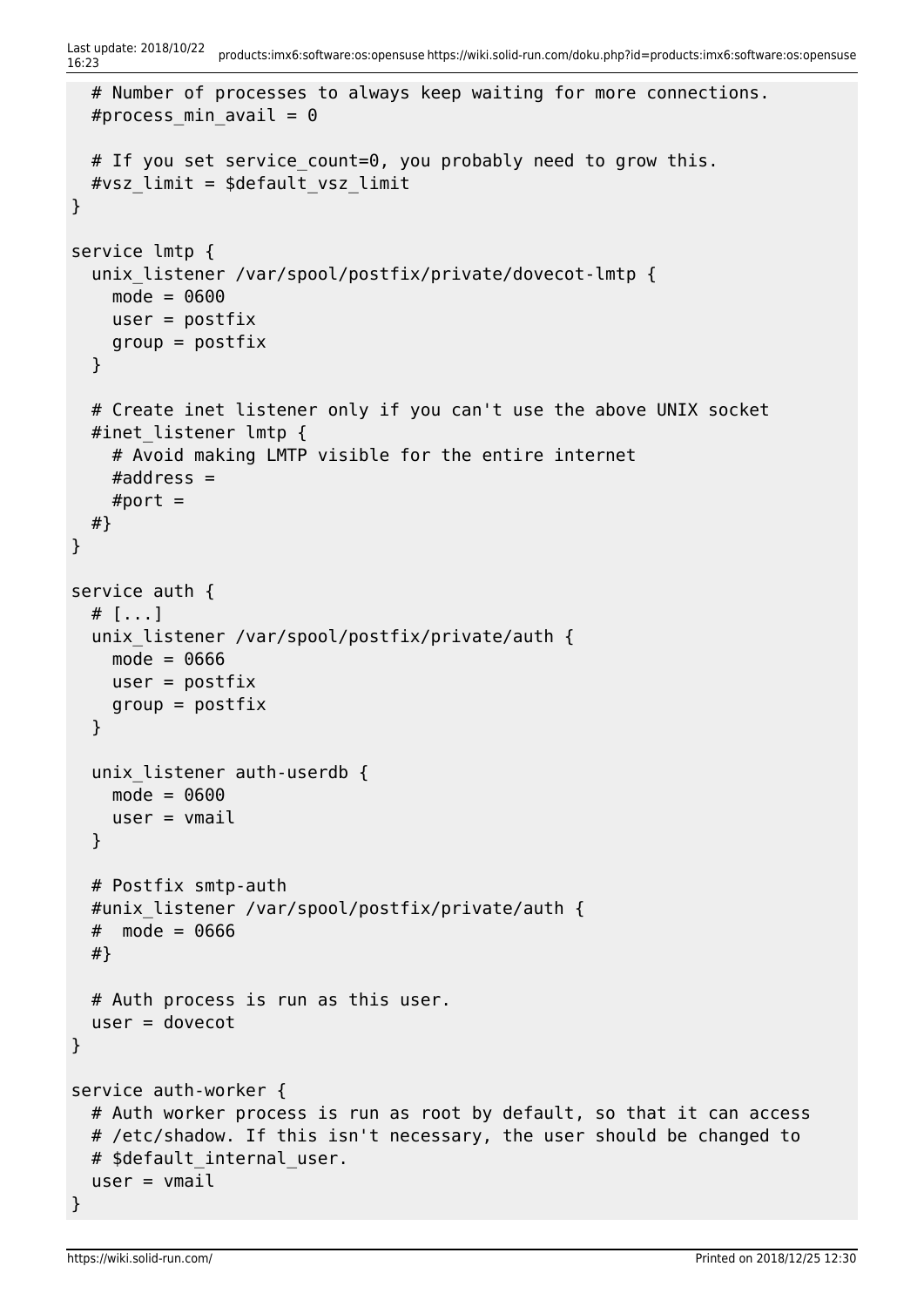```
16:23 products:imx6:software:os:opensuse https://wiki.solid-run.com/doku.php?id=products:imx6:software:os:opensuse
   # Number of processes to always keep waiting for more connections.
  #process min avail = 0# If you set service count=0, you probably need to grow this.
  #vsz limit = $default vsz limit
}
service lmtp {
  unix listener /var/spool/postfix/private/dovecot-lmtp {
    mode = 0600user = postfixqroup = postfix }
   # Create inet listener only if you can't use the above UNIX socket
  #inet listener lmtp {
     # Avoid making LMTP visible for the entire internet
    #address =#port = #}
}
service auth {
   # [...]
   unix_listener /var/spool/postfix/private/auth {
    mode = 0666user = postfixqroup = postfix }
   unix_listener auth-userdb {
     mode = 0600
    user = vmail }
   # Postfix smtp-auth
   #unix_listener /var/spool/postfix/private/auth {
  # mode = 0666
   #}
   # Auth process is run as this user.
  user = dovecot}
service auth-worker {
   # Auth worker process is run as root by default, so that it can access
  # /etc/shadow. If this isn't necessary, the user should be changed to
  # $default internal user.
  user = vmail}
```
Last update: 2018/10/22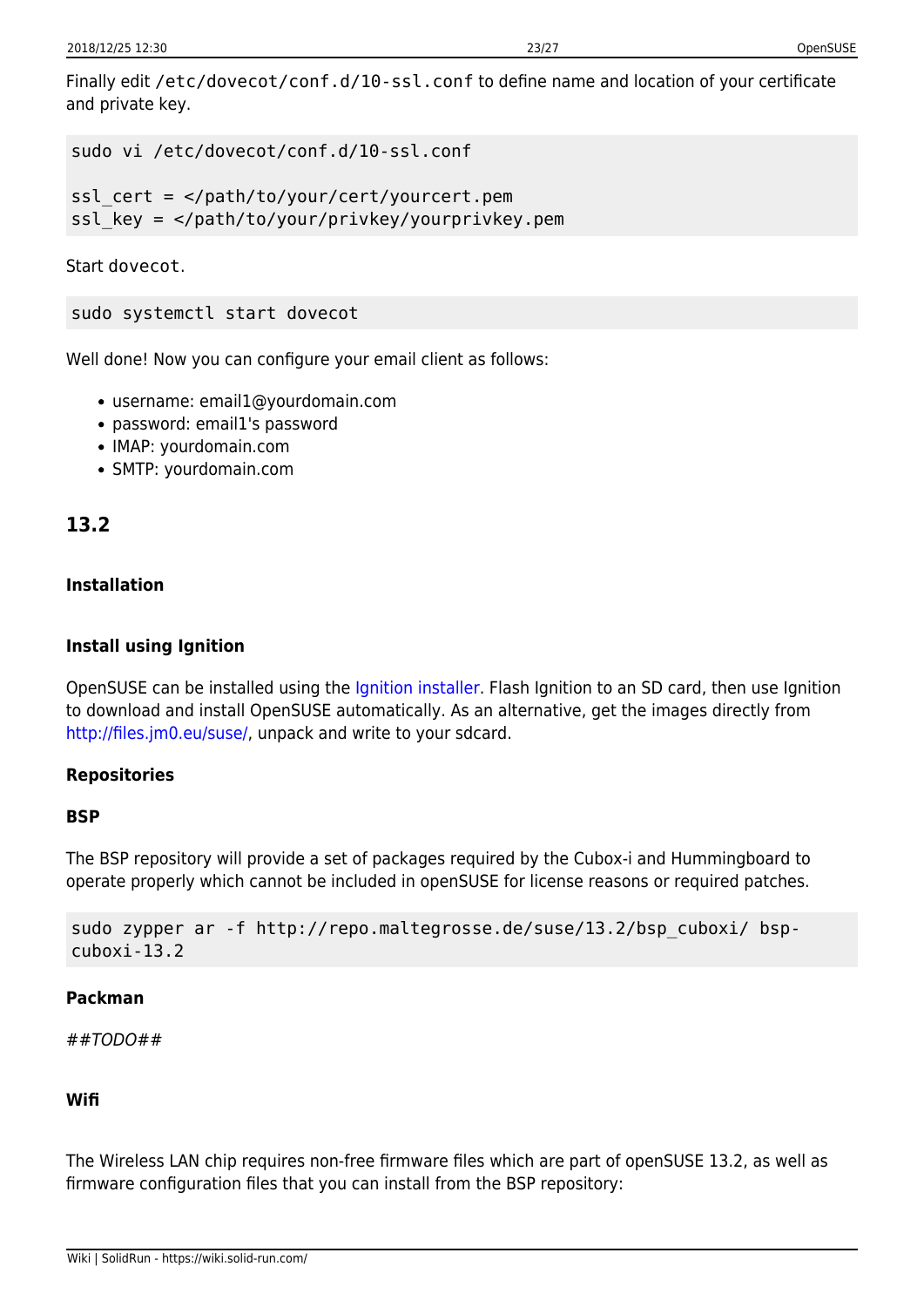Finally edit /etc/dovecot/conf.d/10-ssl.conf to define name and location of your certificate and private key.

```
sudo vi /etc/dovecot/conf.d/10-ssl.conf
```
ssl cert = </path/to/your/cert/yourcert.pem ssl\_key = </path/to/your/privkey/yourprivkey.pem

Start dovecot.

sudo systemctl start dovecot

Well done! Now you can configure your email client as follows:

- username: email1@yourdomain.com
- password: email1's password
- IMAP: yourdomain.com
- SMTP: yourdomain.com

# **13.2**

# **Installation**

# **Install using Ignition**

OpenSUSE can be installed using the [Ignition installer](https://wiki.solid-run.com/doku.php?id=products:imx6:software:os:ignition). Flash Ignition to an SD card, then use Ignition to download and install OpenSUSE automatically. As an alternative, get the images directly from [http://files.jm0.eu/suse/,](http://files.jm0.eu/suse/) unpack and write to your sdcard.

# **Repositories**

# **BSP**

The BSP repository will provide a set of packages required by the Cubox-i and Hummingboard to operate properly which cannot be included in openSUSE for license reasons or required patches.

```
sudo zypper ar -f http://repo.maltegrosse.de/suse/13.2/bsp cuboxi/ bsp-
cuboxi-13.2
```
# **Packman**

##TODO##

# **Wifi**

The Wireless LAN chip requires non-free firmware files which are part of openSUSE 13.2, as well as firmware configuration files that you can install from the BSP repository: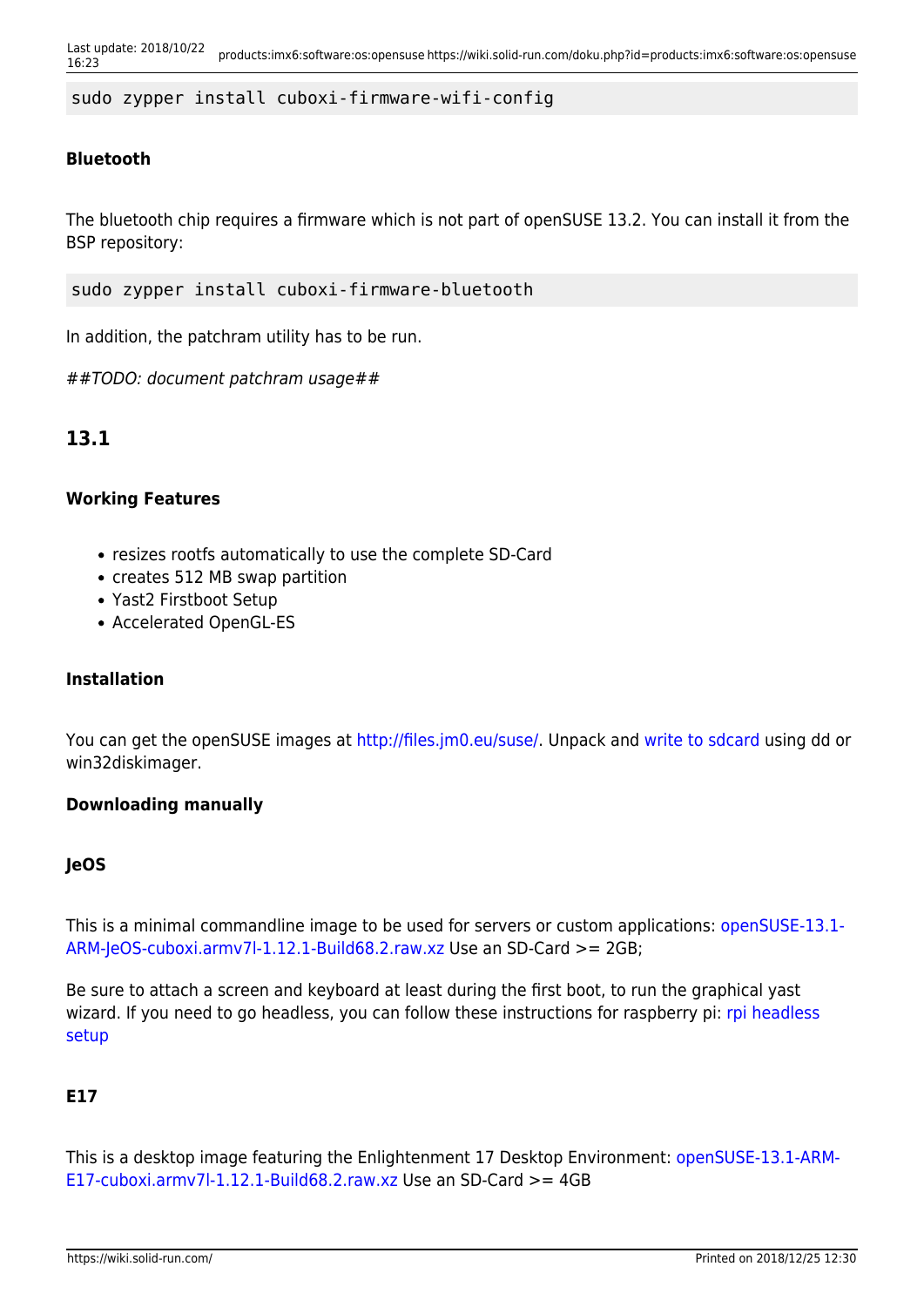sudo zypper install cuboxi-firmware-wifi-config

# **Bluetooth**

The bluetooth chip requires a firmware which is not part of openSUSE 13.2. You can install it from the BSP repository:

sudo zypper install cuboxi-firmware-bluetooth

In addition, the patchram utility has to be run.

##TODO: document patchram usage##

# **13.1**

#### **Working Features**

- resizes rootfs automatically to use the complete SD-Card
- creates 512 MB swap partition
- Yast2 Firstboot Setup
- Accelerated OpenGL-ES

# **Installation**

You can get the openSUSE images at <http://files.jm0.eu/suse/>. Unpack and [write to sdcard](https://wiki.solid-run.com/doku.php?id=products:imx6:overview:flashsdcard) using dd or win32diskimager.

#### **Downloading manually**

#### **JeOS**

This is a minimal commandline image to be used for servers or custom applications: [openSUSE-13.1-](http://files.jm0.eu/suse/openSUSE-13.1-ARM-JeOS-cuboxi.armv7l-1.12.1-Build68.2.raw.xz) [ARM-JeOS-cuboxi.armv7l-1.12.1-Build68.2.raw.xz](http://files.jm0.eu/suse/openSUSE-13.1-ARM-JeOS-cuboxi.armv7l-1.12.1-Build68.2.raw.xz) Use an SD-Card >= 2GB;

Be sure to attach a screen and keyboard at least during the first boot, to run the graphical yast wizard. If you need to go headless, you can follow these instructions for raspberry pi: [rpi headless](http://en.opensuse.org/HCL:Raspberry_Pi#Using_the_system_headless) [setup](http://en.opensuse.org/HCL:Raspberry_Pi#Using_the_system_headless)

# **E17**

This is a desktop image featuring the Enlightenment 17 Desktop Environment: [openSUSE-13.1-ARM-](http://files.jm0.eu/suse/openSUSE-13.1-ARM-E17-cuboxi.armv7l-1.12.1-Build68.2.raw.xz)[E17-cuboxi.armv7l-1.12.1-Build68.2.raw.xz](http://files.jm0.eu/suse/openSUSE-13.1-ARM-E17-cuboxi.armv7l-1.12.1-Build68.2.raw.xz) Use an SD-Card  $>= 4GB$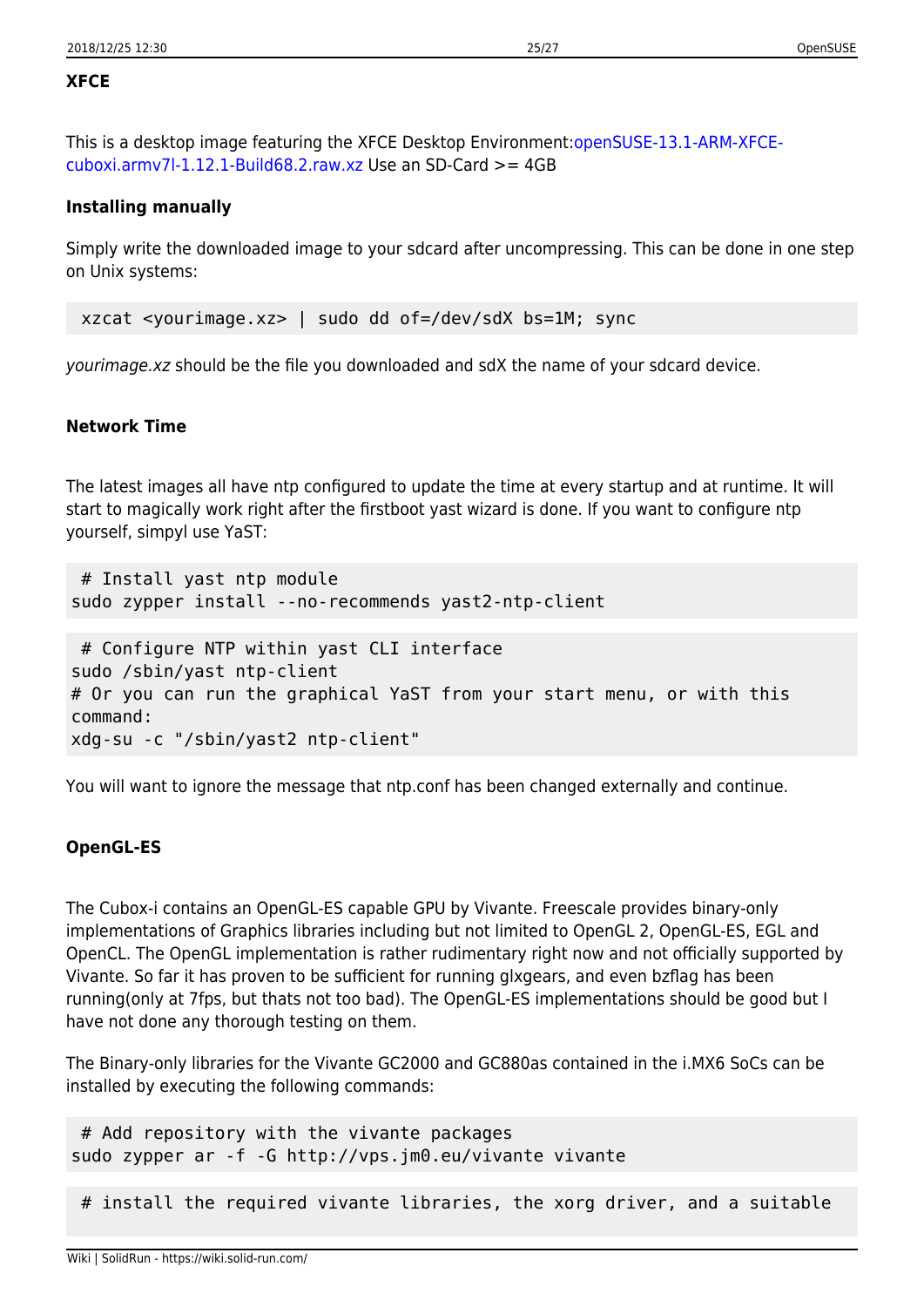#### **XFCE**

This is a desktop image featuring the XFCE Desktop Environment:[openSUSE-13.1-ARM-XFCE](http://files.jm0.eu/suse/openSUSE-13.1-ARM-XFCE-cuboxi.armv7l-1.12.1-Build68.2.raw.xz)[cuboxi.armv7l-1.12.1-Build68.2.raw.xz](http://files.jm0.eu/suse/openSUSE-13.1-ARM-XFCE-cuboxi.armv7l-1.12.1-Build68.2.raw.xz) Use an SD-Card  $>= 4GB$ 

#### **Installing manually**

Simply write the downloaded image to your sdcard after uncompressing. This can be done in one step on Unix systems:

xzcat <yourimage.xz> | sudo dd of=/dev/sdX bs=1M; sync

yourimage.xz should be the file you downloaded and sdX the name of your sdcard device.

#### **Network Time**

The latest images all have ntp configured to update the time at every startup and at runtime. It will start to magically work right after the firstboot yast wizard is done. If you want to configure ntp yourself, simpyl use YaST:

```
 # Install yast ntp module
sudo zypper install --no-recommends yast2-ntp-client
 # Configure NTP within yast CLI interface
sudo /sbin/yast ntp-client
# Or you can run the graphical YaST from your start menu, or with this
command:
xdg-su -c "/sbin/yast2 ntp-client"
```
You will want to ignore the message that ntp.conf has been changed externally and continue.

#### **OpenGL-ES**

The Cubox-i contains an OpenGL-ES capable GPU by Vivante. Freescale provides binary-only implementations of Graphics libraries including but not limited to OpenGL 2, OpenGL-ES, EGL and OpenCL. The OpenGL implementation is rather rudimentary right now and not officially supported by Vivante. So far it has proven to be sufficient for running glxgears, and even bzflag has been running(only at 7fps, but thats not too bad). The OpenGL-ES implementations should be good but I have not done any thorough testing on them.

The Binary-only libraries for the Vivante GC2000 and GC880as contained in the i.MX6 SoCs can be installed by executing the following commands:

```
 # Add repository with the vivante packages
sudo zypper ar -f -G http://vps.jm0.eu/vivante vivante
```
# install the required vivante libraries, the xorg driver, and a suitable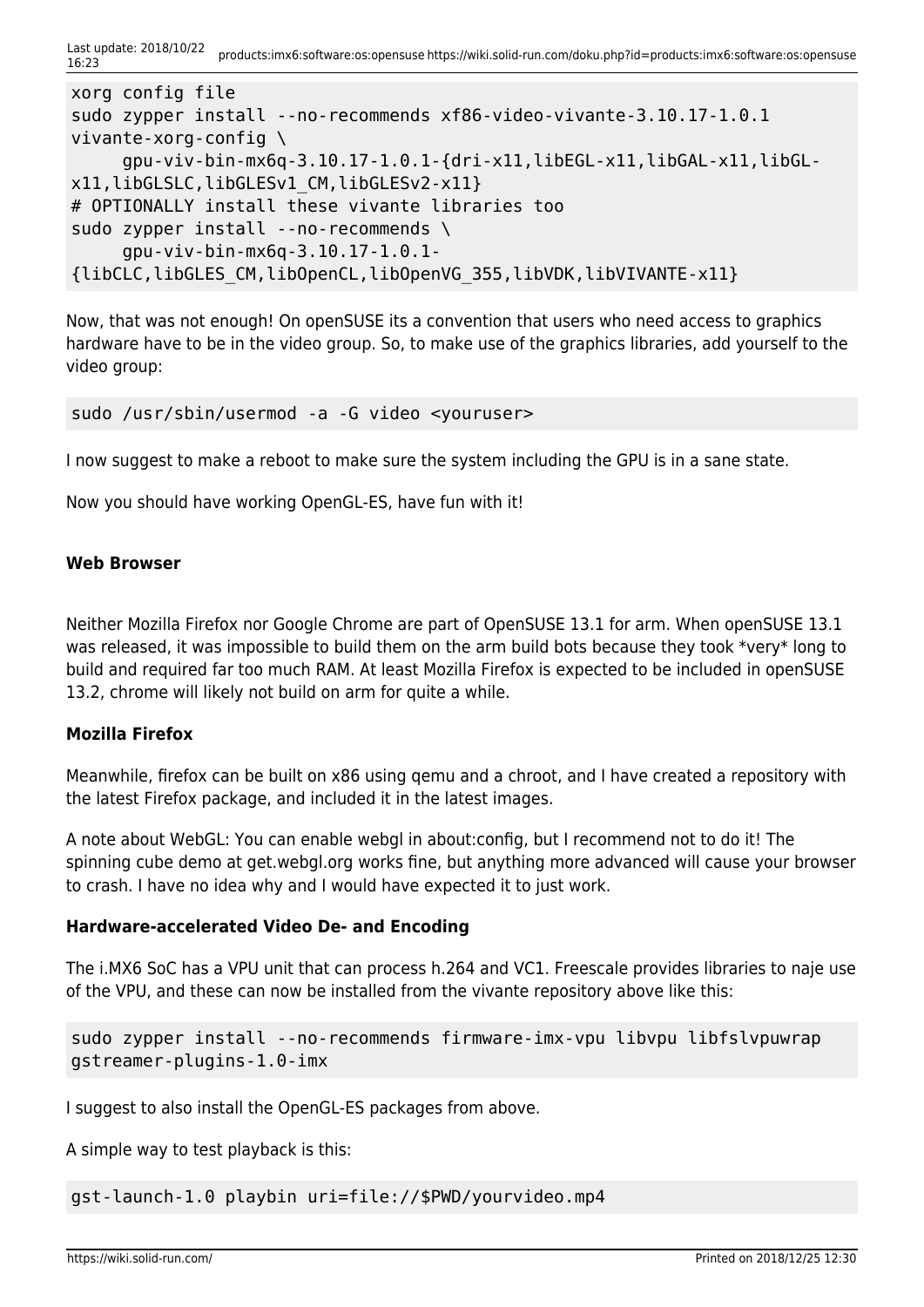Last update: 2018/10/22 16:23 products:imx6:software:os:opensuse https://wiki.solid-run.com/doku.php?id=products:imx6:software:os:opensuse

```
xorg config file
sudo zypper install --no-recommends xf86-video-vivante-3.10.17-1.0.1
vivante-xorg-config \
      gpu-viv-bin-mx6q-3.10.17-1.0.1-{dri-x11,libEGL-x11,libGAL-x11,libGL-
x11,libGLSLC,libGLESv1_CM,libGLESv2-x11}
# OPTIONALLY install these vivante libraries too
sudo zypper install --no-recommends \
      gpu-viv-bin-mx6q-3.10.17-1.0.1-
{libCLC,libGLES_CM,libOpenCL,libOpenVG_355,libVDK,libVIVANTE-x11}
```
Now, that was not enough! On openSUSE its a convention that users who need access to graphics hardware have to be in the video group. So, to make use of the graphics libraries, add yourself to the video group:

```
sudo /usr/sbin/usermod -a -G video <youruser>
```
I now suggest to make a reboot to make sure the system including the GPU is in a sane state.

Now you should have working OpenGL-ES, have fun with it!

#### **Web Browser**

Neither Mozilla Firefox nor Google Chrome are part of OpenSUSE 13.1 for arm. When openSUSE 13.1 was released, it was impossible to build them on the arm build bots because they took \*very\* long to build and required far too much RAM. At least Mozilla Firefox is expected to be included in openSUSE 13.2, chrome will likely not build on arm for quite a while.

#### **Mozilla Firefox**

Meanwhile, firefox can be built on x86 using qemu and a chroot, and I have created a repository with the latest Firefox package, and included it in the latest images.

A note about WebGL: You can enable webgl in about:config, but I recommend not to do it! The spinning cube demo at get.webgl.org works fine, but anything more advanced will cause your browser to crash. I have no idea why and I would have expected it to just work.

#### **Hardware-accelerated Video De- and Encoding**

The i.MX6 SoC has a VPU unit that can process h.264 and VC1. Freescale provides libraries to naje use of the VPU, and these can now be installed from the vivante repository above like this:

```
sudo zypper install --no-recommends firmware-imx-vpu libvpu libfslvpuwrap
gstreamer-plugins-1.0-imx
```
I suggest to also install the OpenGL-ES packages from above.

A simple way to test playback is this:

gst-launch-1.0 playbin uri=file://\$PWD/yourvideo.mp4